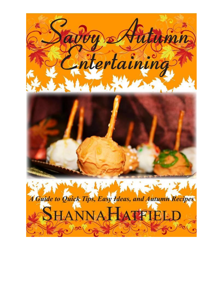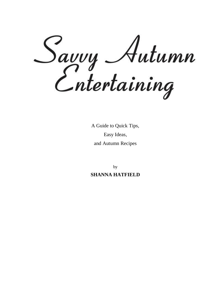Sawy Autumn<br>Entertaining

A Guide to Quick Tips, Easy Ideas, and Autumn Recipes

by **SHANNA HATFIELD**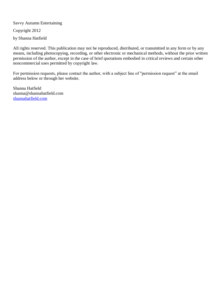Savvy Autumn Entertaining Copyright 2012 by Shanna Hatfield

All rights reserved. This publication may not be reproduced, distributed, or transmitted in any form or by any means, including photocopying, recording, or other electronic or mechanical methods, without the prior written permission of the author, except in the case of brief quotations embodied in critical reviews and certain other noncommercial uses permitted by copyright law.

For permission requests, please contact the author, with a subject line of "permission request" at the email address below or through her website.

Shanna Hatfield shanna@shannahatfield.com [shannahatfield.com](http://shannahatfield.com/)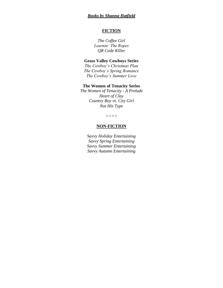## **FICTION**

*The Coffee Girl Learnin' The Ropes QR Code Killer*

## **Grass Valley Cowboys Series**

*The Cowboy's Christmas Plan The Cowboy's Spring Romance The Cowboy's Summer Love*

## **The Women of Tenacity Series**

*The Women of Tenacity - A Prelude Heart of Clay Country Boy vs. City Girl Not His Type*

*><><*

## **NON-FICTION**

*Savvy Holiday Entertaining Savvy Spring Entertaining Savvy Summer Entertaining Savvy Autumn Entertaining*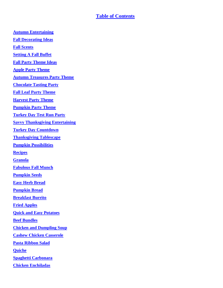# **[Table of Contents](#page-4-0)**

<span id="page-4-0"></span>**[Autumn Entertaining](#page-6-0) [Fall Decorating Ideas](#page-7-0) [Fall Scents](#page-8-0) [Setting A Fall Buffet](#page-9-0) [Fall Party Theme Ideas](#page-10-0) [Apple Party Theme](#page-11-0) [Autumn Treasures Party Theme](#page-12-0) [Chocolate Tasting Party](#page-13-0) [Fall Leaf Party Theme](#page-15-0) [Harvest Party Theme](#page-16-0) [Pumpkin Party Theme](#page-17-0) [Turkey Day Test Run Party](#page-18-0) [Savvy Thanksgiving Entertaining](#page-19-0) [Turkey Day Countdown](#page-20-0) [Thanksgiving Tablescape](#page-22-0) [Pumpkin Possibilities](#page-23-0) [Recipes](#page-24-0) [Granola](#page-25-0) [Fabulous Fall Munch](#page-26-0) [Pumpkin Seeds](#page-27-0) [Easy Herb Bread](#page-28-0) [Pumpkin Bread](#page-29-0) [Breakfast Burrito](#page-30-0) [Fried Apples](#page-31-0) [Quick and Easy Potatoes](#page-32-0) [Beef Bundles](#page-33-0) [Chicken and Dumpling Soup](#page-34-0) [Cashew Chicken Casserole](#page-35-0) [Pasta Ribbon Salad](#page-36-0) [Quiche](#page-37-0) [Spaghetti Carbonara](#page-38-0) [Chicken Enchiladas](#page-39-0)**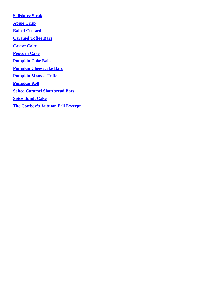**[Salisbury Steak](#page-40-0) [Apple Crisp](#page-41-0) [Baked Custard](#page-42-0) [Caramel Toffee Bars](#page-43-0) [Carrot Cake](#page-44-0) [Popcorn Cake](#page-45-0) [Pumpkin Cake Balls](#page-46-0) [Pumpkin Cheesecake Bars](#page-47-0) [Pumpkin Mousse Trifle](#page-48-0) [Pumpkin Roll](#page-49-0) [Salted Caramel Shortbread Bars](#page-50-0) [Spice Bundt Cake](#page-51-0) [The Cowboy's Autumn Fall Excerpt](#page-55-0)**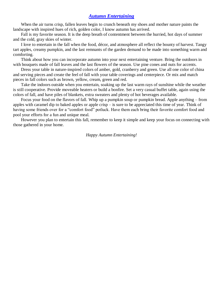# *[Autumn Entertaining](#page-4-0)*

<span id="page-6-0"></span>When the air turns crisp, fallen leaves begin to crunch beneath my shoes and mother nature paints the landscape with inspired hues of rich, golden color, I know autumn has arrived.

Fall is my favorite season. It is the deep breath of contentment between the hurried, hot days of summer and the cold, gray skies of winter.

I love to entertain in the fall when the food, décor, and atmosphere all reflect the bounty of harvest. Tangy tart apples, creamy pumpkin, and the last remnants of the garden demand to be made into something warm and comforting.

Think about how you can incorporate autumn into your next entertaining venture. Bring the outdoors in with bouquets made of fall leaves and the last flowers of the season. Use pine cones and nuts for accents.

Dress your table in nature-inspired colors of amber, gold, cranberry and green. Use all one color of china and serving pieces and create the feel of fall with your table coverings and centerpiece. Or mix and match pieces in fall colors such as brown, yellow, cream, green and red.

Take the indoors outside when you entertain, soaking up the last warm rays of sunshine while the weather is still cooperative. Provide moveable heaters or build a bonfire. Set a very casual buffet table, again using the colors of fall, and have piles of blankets, extra sweaters and plenty of hot beverages available.

Focus your food on the flavors of fall. Whip up a pumpkin soup or pumpkin bread. Apple anything – from apples with caramel dip to baked apples or apple crisp – is sure to be appreciated this time of year. Think of having some friends over for a "comfort food" potluck. Have them each bring their favorite comfort food and pool your efforts for a fun and unique meal.

However you plan to entertain this fall, remember to keep it simple and keep your focus on connecting with those gathered in your home.

*Happy Autumn Entertaining!*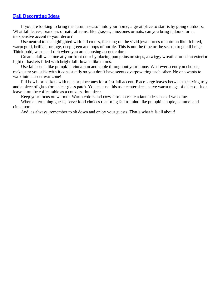# <span id="page-7-0"></span>**[Fall Decorating Ideas](#page-4-0)**

If you are looking to bring the autumn season into your home, a great place to start is by going outdoors. What fall leaves, branches or natural items, like grasses, pinecones or nuts, can you bring indoors for an inexpensive accent to your decor?

Use neutral tones highlighted with fall colors, focusing on the vivid jewel tones of autumn like rich red, warm gold, brilliant orange, deep green and pops of purple. This is not the time or the season to go all beige. Think bold, warm and rich when you are choosing accent colors.

Create a fall welcome at your front door by placing pumpkins on steps, a twiggy wreath around an exterior light or baskets filled with bright fall flowers like mums.

Use fall scents like pumpkin, cinnamon and apple throughout your home. Whatever scent you choose, make sure you stick with it consistently so you don't have scents overpowering each other. No one wants to walk into a scent war-zone!

Fill bowls or baskets with nuts or pinecones for a fast fall accent. Place large leaves between a serving tray and a piece of glass (or a clear glass pate). You can use this as a centerpiece, serve warm mugs of cider on it or leave it on the coffee table as a conversation piece.

Keep your focus on warmth. Warm colors and cozy fabrics create a fantastic sense of welcome.

When entertaining guests, serve food choices that bring fall to mind like pumpkin, apple, caramel and cinnamon.

And, as always, remember to sit down and enjoy your guests. That's what it is all about!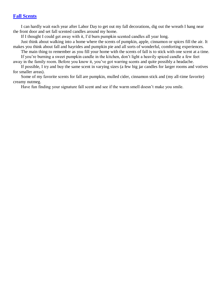# <span id="page-8-0"></span>**[Fall Scents](#page-4-0)**

I can hardly wait each year after Labor Day to get out my fall decorations, dig out the wreath I hang near the front door and set fall scented candles around my home.

If I thought I could get away with it, I'd burn pumpkin scented candles all year long.

Just think about walking into a home where the scents of pumpkin, apple, cinnamon or spices fill the air. It makes you think about fall and hayrides and pumpkin pie and all sorts of wonderful, comforting experiences.

The main thing to remember as you fill your home with the scents of fall is to stick with one scent at a time. If you're burning a sweet pumpkin candle in the kitchen, don't light a heavily spiced candle a few feet

away in the family room. Before you know it, you've got warring scents and quite possibly a headache.

If possible, I try and buy the same scent in varying sizes (a few big jar candles for larger rooms and votives for smaller areas).

Some of my favorite scents for fall are pumpkin, mulled cider, cinnamon stick and (my all-time favorite) creamy nutmeg.

Have fun finding your signature fall scent and see if the warm smell doesn't make you smile.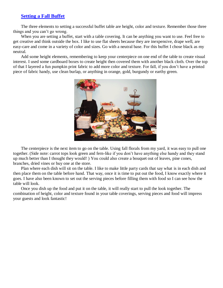# <span id="page-9-0"></span>**[Setting a Fall Buffet](#page-4-0)**

The three elements to setting a successful buffet table are height, color and texture. Remember those three things and you can't go wrong.

When you are setting a buffet, start with a table covering. It can be anything you want to use. Feel free to get creative and think outside the box. I like to use flat sheets because they are inexpensive, drape well, are easy-care and come in a variety of color and sizes. Go with a neutral base. For this buffet I chose black as my neutral.

Add some height elements, remembering to keep your centerpiece on one end of the table to create visual interest. I used some cardboard boxes to create height then covered them with another black cloth. Over the top of that I layered a fun pumpkin print fabric to add more color and texture. For fall, if you don't have a printed piece of fabric handy, use clean burlap, or anything in orange, gold, burgundy or earthy green.



The centerpiece is the next item to go on the table. Using fall florals from my yard, it was easy to pull one together. (Side note: carrot tops look green and fern-like if you don't have anything else handy and they stand up much better than I thought they would! ) You could also create a bouquet out of leaves, pine cones, branches, dried vines or buy one at the store.

Plan where each dish will sit on the table. I like to make little party cards that say what is in each dish and then place them on the table before hand. That way, once it is time to put out the food, I know exactly where it goes. I have also been known to set out the serving pieces before filling them with food so I can see how the table will look.

Once you dish up the food and put it on the table, it will really start to pull the look together. The combination of height, color and texture found in your table coverings, serving pieces and food will impress your guests and look fantastic!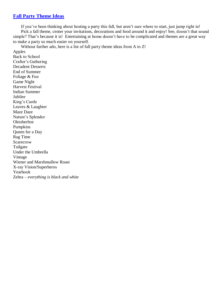# <span id="page-10-0"></span>**[Fall Party Theme Ideas](#page-4-0)**

If you've been thinking about hosting a party this fall, but aren't sure where to start, just jump right in!

Pick a fall theme, center your invitations, decorations and food around it and enjoy! See, doesn't that sound simple? That's because it is! Entertaining at home doesn't have to be complicated and themes are a great way to make a party so much easier on yourself.

Without further ado, here is a list of fall party theme ideas from A to Z!

Apples Back to School Crafter's Gathering Decadent Desserts End of Summer Foliage & Fun Game Night Harvest Festival Indian Summer Jubilee King's Castle Leaves & Laughter Maze Daze Nature's Splendor **Oktoberfest** Pumpkins Queen for a Day Rag Time **Scarecrow** Tailgate Under the Umbrella Vintage Wiener and Marshmallow Roast X-ray Vision/Superheros Yearbook Zebra – *everything is black and white*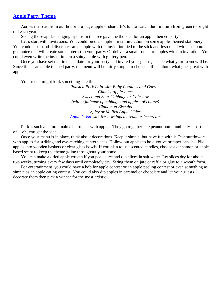# <span id="page-11-0"></span>**[Apple Party Theme](#page-4-0)**

Across the road from our house is a huge apple orchard. It's fun to watch the fruit turn from green to bright red each year.

Seeing those apples hanging ripe from the tree gave me the idea for an apple themed party.

Let's start with invitations. You could send a simple printed invitation on some apple-themed stationery. You could also hand-deliver a caramel apple with the invitation tied to the stick and festooned with a ribbon. I guarantee that will create some interest in your party. Or deliver a small basket of apples with an invitation. You could even write the invitation on a shiny apple with glittery pen.

Once you have set the time and date for your party and invited your guests, decide what your menu will be. Since this is an apple themed party, the menu will be fairly simple to choose – think about what goes great with apples!

Your menu might look something like this:

*Roasted Pork Loin with Baby Potatoes and Carrots Chunky Applesauce Sweet and Sour Cabbage or Coleslaw (with a julienne of cabbage and apples, of course) Cinnamon Biscuits Spicy or Mulled Apple Cider [Apple Crisp](http://http/savvyentertaining.com/2009/11/13/simple-apple-crisp/) with fresh whipped cream or ice cream*

Pork is such a natural main dish to pair with apples. They go together like peanut butter and jelly – sort of… oh, you get the idea.

Once your menu is in place, think about decorations. Keep it simple, but have fun with it. Pair sunflowers with apples for striking and eye-catching centerpieces. Hollow out apples to hold votive or taper candles. Pile apples into wooden baskets or clear glass bowls. If you plan to use scented candles, choose a cinnamon or apple based scent to keep the theme going throughout your home.

You can make a dried apple wreath if you peel, slice and dip slices in salt water. Let slices dry for about two weeks, turning every few days until completely dry. String them on jute or raffia or glue to a wreath form.

For entertainment, you could have a bob for apple contest or an apple peeling contest or even something as simple as an apple eating contest. You could also dip apples in caramel or chocolate and let your guests decorate them then pick a winner for the most artistic.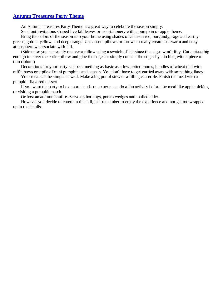# <span id="page-12-0"></span>**[Autumn Treasures Party Theme](#page-4-0)**

An Autumn Treasures Party Theme is a great way to celebrate the season simply.

Send out invitations shaped live fall leaves or use stationery with a pumpkin or apple theme.

Bring the colors of the season into your home using shades of crimson red, burgundy, sage and earthy greens, golden yellow, and deep orange. Use accent pillows or throws to really create that warm and cozy atmosphere we associate with fall.

(Side note: you can easily recover a pillow using a swatch of felt since the edges won't fray. Cut a piece big enough to cover the entire pillow and glue the edges or simply connect the edges by stitching with a piece of thin ribbon.)

Decorations for your party can be something as basic as a few potted mums, bundles of wheat tied with raffia bows or a pile of mini pumpkins and squash. You don't have to get carried away with something fancy.

Your meal can be simple as well. Make a big pot of stew or a filling casserole. Finish the meal with a pumpkin flavored dessert.

If you want the party to be a more hands-on experience, do a fun activity before the meal like apple picking or visiting a pumpkin patch.

Or host an autumn bonfire. Serve up hot dogs, potato wedges and mulled cider.

However you decide to entertain this fall, just remember to enjoy the experience and not get too wrapped up in the details.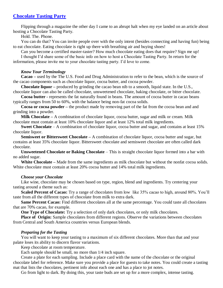# <span id="page-13-0"></span>**[Chocolate Tasting Party](#page-4-0)**

Flipping through a magazine the other day I came to an abrupt halt when my eye landed on an article about hosting a Chocolate Tasting Party.

Hold. The. Phone.

You can do that? You can invite people over with the only intent (besides connecting and having fun) being to eat chocolate. Eating chocolate is right up there with breathing air and buying shoes!

Can you become a certified master-taster? How much chocolate eating does that require? Sign me up! I thought I'd share some of the basic info on how to host a Chocolate Tasting Party. In return for the information, please invite me to your chocolate tasting party. I'd love to come.

## *Know Your Terminology*

**Cacao –** used by the The U.S. Food and Drug Administration to refer to the bean, which is the source of the cacao components such as chocolate liquor, cocoa butter, and cocoa powder.

**Chocolate liquor –** produced by grinding the cacao bean nib to a smooth, liquid state. In the U.S., chocolate liquor can also be called chocolate, unsweetened chocolate, baking chocolate, or bitter chocolate.

**Cocoa butter -** represents the fat naturally found in beans. The amount of cocoa butter in cacao beans typically ranges from 50 to 60%, with the balance being non-fat cocoa solids.

**Cocoa or cocoa powder –** the product made by removing part of the fat from the cocoa bean and and grinding into a powder.

**Milk Chocolate –** A combination of chocolate liquor, cocoa butter, sugar and milk or cream. Milk chocolate must contain at least 10% chocolate liquor and at least 12% total milk ingredients.

**Sweet Chocolate** – A combination of chocolate liquor, cocoa butter and sugar, and contains at least 15% chocolate liquor.

**Semisweet or Bittersweet Chocolate –** A combination of chocolate liquor, cocoa butter and sugar, but contains at least 35% chocolate liquor. Bittersweet chocolate and semisweet chocolate are often called dark chocolate.

**Unsweetened Chocolate or Baking Chocolate** – This is straight chocolate liquor formed into a bar with no added sugar.

**White Chocolate –** Made from the same ingredients as milk chocolate but without the nonfat cocoa solids. White chocolate must contain at least 20% cocoa butter and 14% total milk ingredients.

## *Choose your Chocolate*

Like wine, chocolate may be chosen based on type, region, blend and ingredients. Try centering your tasting around a theme such as:

**Scaled Percent of Cacao:** Try a range of chocolates from low like 35% cacao to high, around 80%. You'll taste from all the different types of chocolate from milk to extra dark.

**Same Percent Cacao:** Find different chocolates all at the same percentage. You could taste all chocolates that are 70% cacao, for example.

**One Type of Chocolate:** Try a selection of only dark chocolates, or only milk chocolates.

**Place of Origin:** Sample chocolates from different regions. Observe the variations between chocolates from Central and South America countries versus European blends.

## *Preparing for the Tasting*

You will want to keep your tasting to a maximum of six different chocolates. More than that and your palate loses its ability to discern flavor variations.

Keep chocolate at room temperature.

Each sample should be small, no more than 1/4 inch square.

Create a plate for each sampling. Include a place card with the name of the chocolate or the original chocolate label for reference. Make sure you provide a place for guests to take notes. You could create a tasting mat that lists the chocolates, pertinent info about each one and has a place to jot notes.

Go from light to dark. By doing this, your taste buds are set up for a more complex, intense tasting.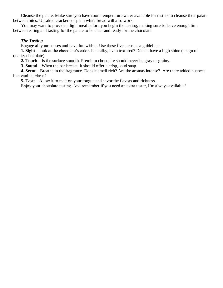Cleanse the palate. Make sure you have room temperature water available for tasters to cleanse their palate between bites. Unsalted crackers or plain white bread will also work.

You may want to provide a light meal before you begin the tasting, making sure to leave enough time between eating and tasting for the palate to be clear and ready for the chocolate.

## *The Tasting*

Engage all your senses and have fun with it. Use these five steps as a guideline:

**1. Sight** – look at the chocolate's color. Is it silky, even textured? Does it have a high shine (a sign of quality chocolate).

**2. Touch** – Is the surface smooth. Premium chocolate should never be gray or grainy.

**3. Sound** – When the bar breaks, it should offer a crisp, loud snap.

**4. Scent** – Breathe in the fragrance. Does it smell rich? Are the aromas intense? Are there added nuances like vanilla, citrus?

**5. Taste** - Allow it to melt on your tongue and savor the flavors and richness.

Enjoy your chocolate tasting. And remember if you need an extra taster, I'm always available!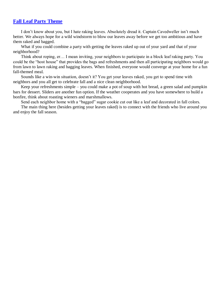# <span id="page-15-0"></span>**[Fall Leaf Party](#page-4-0) Theme**

I don't know about you, but I hate raking leaves. Absolutely dread it. Captain Cavedweller isn't much better. We always hope for a wild windstorm to blow our leaves away before we get too ambitious and have them raked and bagged.

What if you could combine a party with getting the leaves raked up out of your yard and that of your neighborhood?

Think about roping, er… I mean inviting, your neighbors to participate in a block leaf raking party. You could be the "host house" that provides the bags and refreshments and then all participating neighbors would go from lawn to lawn raking and bagging leaves. When finished, everyone would converge at your home for a fun fall-themed meal.

Sounds like a win-win situation, doesn't it? You get your leaves raked, you get to spend time with neighbors and you all get to celebrate fall and a nice clean neighborhood.

Keep your refreshments simple – you could make a pot of soup with hot bread, a green salad and pumpkin bars for dessert. Sliders are another fun option. If the weather cooperates and you have somewhere to build a bonfire, think about roasting wieners and marshmallows.

Send each neighbor home with a "bagged" sugar cookie cut out like a leaf and decorated in fall colors.

The main thing here (besides getting your leaves raked) is to connect with the friends who live around you and enjoy the fall season.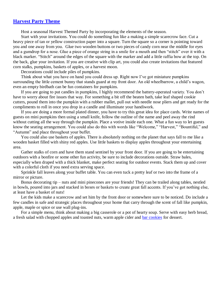## <span id="page-16-0"></span>**[Harvest Party Theme](#page-4-0)**

Host a seasonal Harvest Themed Party by incorporating the elements of the season.

Start with your invitations. You could do something fun like a making a simple scarecrow face. Cut a heavy piece of tan or yellow construction paper into a square. Turn the square so a corner is pointing toward you and one away from you. Glue two wooden buttons or two pieces of candy corn near the middle for eyes and a gumdrop for a nose. Glue a piece of orange string in a smile for a mouth and then "stitch" over it with a black marker. "Stitch" around the edges of the square with the marker and add a little raffia bow at the top. On the back, glue your invitation. If you are creative with clip art, you could also create invitations that featured corn stalks, pumpkins, baskets of apples, or a harvest moon.

Decorations could include piles of pumpkins.

Think about what you have on hand you could dress up. Right now I've got miniature pumpkins surrounding the little cement bunny that stands guard at my front door. An old wheelbarrow, a child's wagon, even an empty birdbath can be fun containers for pumpkins.

If you are going to put candles in pumpkins, I highly recommend the battery-operated variety. You don't have to worry about fire issues that way. For something a bit off the beaten bath, take leaf shaped cookie cutters, pound them into the pumpkin with a rubber mallet, pull out with needle nose pliers and get ready for the compliments to roll in once you drop in a candle and illuminate your handiwork.

If you are doing a more formal plated dinner, you have to try this great idea for place cards. Write names of guests on mini pumpkins then using a small knife, follow the outline of the name and peel away the rind without cutting all the way through the pumpkin. Place a votive inside each one. What a fun way to let guests know the seating arrangement. You could also do this with words like "Welcome," "Harvest," "Bountiful," and "Autumn" and place throughout your buffet.

You could also use baskets of apples. There is absolutely nothing on the planet that says fall to me like a wooden basket filled with shiny red apples. Use little baskets to display apples throughout your entertaining area.

Gather stalks of corn and have them stand sentinel by your front door. If you are going to be entertaining outdoors with a bonfire or some other fun activity, be sure to include decorations outside. Straw bales, especially when draped with a thick blanket, make perfect seating for outdoor events. Stack them up and cover with a colorful cloth if you need extra serving space.

Sprinkle fall leaves along your buffet table. You can even tuck a pretty leaf or two into the frame of a mirror or picture.

Bonus decorating tip – nuts and mini pinecones are your friends! They can be trailed along tables, nestled in bowls, poured into jars and stacked in boxes or baskets to create great fall accents. If you've got nothing else, at least have a basket of nuts!

Let the kids make a scarecrow and set him by the front door or somewhere sure to be noticed. Do include a few candles in safe and strategic places throughout your home that carry through the scent of fall like pumpkin, apple, maple or spice or use wall plug-ins.

For a simple menu, think about making a big casserole or a pot of hearty soup. Serve with easy herb bread, a fresh salad with chopped apples and toasted nuts, warm apple cider and [bar cookies](http://savvyentertaining.com/2010/09/24/caramel-toffee-bars/) for dessert.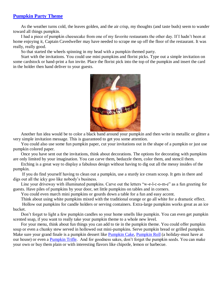# <span id="page-17-0"></span>**[Pumpkin Party Theme](#page-4-0)**

As the weather turns cold, the leaves golden, and the air crisp, my thoughts (and taste buds) seem to wander toward all things pumpkin.

I had a piece of pumpkin cheesecake from one of my favorite restaurants the other day. If I hadn't been at home enjoying it, Captain Cavedweller may have needed to scrape me up off the floor of the restaurant. It was really, really good.

So that started the wheels spinning in my head with a pumpkin themed party.

Start with the invitations. You could use mini pumpkins and florist picks. Type out a simple invitation on some cardstock or hand-print a fun invite. Place the florist pick into the top of the pumpkin and insert the card in the holder then hand deliver to your guests.



Another fun idea would be to color a black band around your pumpkin and then write in metallic or glitter a very simple invitation message. This is guaranteed to get you some attention.

You could also use some fun pumpkin paper, cut your invitations out in the shape of a pumpkin or just use pumpkin colored paper.

Once you have sent out the invitations, think about decorations. The options for decorating with pumpkins are only limited by your imagination. You can carve them, bedazzle them, color them, and stencil them.

Etching is a great way to display a fabulous design without having to dig out all the messy insides of the pumpkin.

If you do find yourself having to clean out a pumpkin, use a sturdy ice cream scoop. It gets in there and digs out all the icky goo like nobody's business.

Line your driveway with illuminated pumpkins. Carve out the letters "w-e-l-c-o-m-e" as a fun greeting for guests. Have piles of pumpkins by your door, set little pumpkins on tables and in corners.

You could even march mini pumpkins or gourds down a table for a fun and easy accent.

Think about using white pumpkins mixed with the traditional orange or go all white for a dramatic effect.

Hollow out pumpkins for candle holders or serving containers. Extra-large pumpkins works great as an ice bucket.

Don't forget to light a few pumpkin candles so your home smells like pumpkin. You can even get pumpkin scented soap, if you want to really take your pumpkin theme to a whole new level.

For your menu, think about fun things you can add to tie in the pumpkin theme. You could offer pumpkin soup or even a chunky stew served in hollowed out mini-pumpkins. Serve pumpkin bread or grilled pumpkin. Make sure your grand finale is a pumpkin dessert like [Pumpkin Cake,](http://savvyentertaining.com/2009/10/30/pumpkin-cake-is-all-treat-no-tricks/) [Pumpkin Roll](http://savvyentertaining.com/2009/12/18/delicious-pumpkin-roll/) (a holiday-must have at our house) or even a **Pumpkin Trifle**. And for goodness sakes, don't forget the pumpkin seeds. You can make your own or buy them plain or with interesting flavors like chipotle, lemon or barbecue.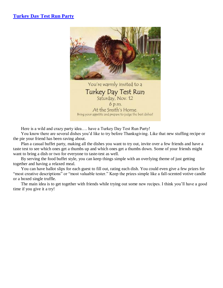# <span id="page-18-0"></span>**[Turkey Day Test Run](#page-4-0) Party**



You're warmly invited to a Turkey Day Test Run 6 p.m. At the Smith's Home. Bring your appetite and prepare to judge the best dishes!

Here is a wild and crazy party idea…. have a Turkey Day Test Run Party!

You know there are several dishes you'd like to try before Thanksgiving. Like that new stuffing recipe or the pie your friend has been raving about.

Plan a casual buffet party, making all the dishes you want to try out, invite over a few friends and have a taste test to see which ones get a thumbs up and which ones get a thumbs down. Some of your friends might want to bring a dish or two for everyone to taste-test as well.

By serving the food buffet style, you can keep things simple with an overlying theme of just getting together and having a relaxed meal.

You can have ballot slips for each guest to fill out, rating each dish. You could even give a few prizes for "most creative descriptions" or "most valuable tester." Keep the prizes simple like a fall-scented votive candle or a boxed single truffle.

The main idea is to get together with friends while trying out some new recipes. I think you'll have a good time if you give it a try!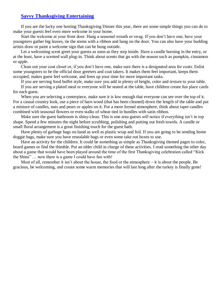## <span id="page-19-0"></span>**[Savvy Thanksgiving Entertaining](#page-4-0)**

If you are the lucky one hosting Thanksgiving Dinner this year, there are some simple things you can do to make your guests feel even more welcome in your home.

Start the welcome at your front door. Hang a seasonal wreath or swag. If you don't have one, have your youngsters gather big leaves, tie the stems with a ribbon and hang on the door. You can also have your budding artists draw or paint a welcome sign that can be hung outside.

Let a welcoming scent greet your guests as soon as they step inside. Have a candle burning in the entry, or at the least, have a scented wall plug-in. Think about scents that go with the season such as pumpkin, cinnamon or apple.

Clean out your coat closet or, if you don't have one, make sure there is a designated area for coats. Enlist some youngsters to be the official door greeters and coat takers. It makes them feel important, keeps them occupied, makes guest feel welcome, and frees up your time for more important tasks.

If you are serving food buffet style, make sure you add in plenty of height, color and texture to your table.

If you are serving a plated meal or everyone will be seated at the table, have children create fun place cards for each guest.

When you are selecting a centerpiece, make sure it is low enough that everyone can see over the top of it. For a casual country look, use a piece of barn wood (that has been cleaned) down the length of the table and put a mixture of candles, nuts and pears or apples on it. For a more formal atmosphere, think about taper candles combined with seasonal flowers or even stalks of wheat tied in bundles with satin ribbon.

Make sure the guest bathroom is shiny-clean. This is one area guests *will* notice if everything isn't in top shape. Spend a few minutes the night before scrubbing, polishing and putting out fresh towels. A candle or small floral arrangement is a great finishing touch for the guest bath.

Have plenty of garbage bags on hand as well as plastic wrap and foil. If you are going to be sending home doggie bags, make sure you have resealable bags or even some take out boxes to use.

Have an activity for the children. It could be something as simple as Thanksgiving themed pages to color, board games or find the thimble. Put an older child in charge of these activities. I read something the other day about a game that would have been played around the time of the first Thanksgiving celebration called "Kick the Shins" … now there is a game I could have fun with!

Most of all, remember it isn't about the house, the food or the atmosphere – it is about the people. Be gracious, be welcoming, and create some warm memories that will last long after the turkey is finally gone!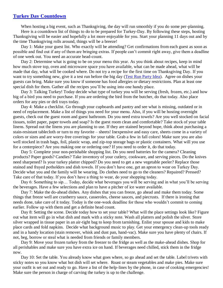## <span id="page-20-0"></span>**[Turkey Day Countdown](#page-4-0)**

When hosting a big event, such as Thanksgiving, the day will run smoothly if you do some per-planning.

Here is a countdown list of things to do to be prepared for Turkey-Day. By following these steps, hosting Thanksgiving will be easier and hopefully a lot more enjoyable for you. Start your planning 11 days out and by the time Thanksgiving rolls around, things will be a breeze!

Day 1: Make your guest list. Who exactly will be attending? Get confirmations from each guest as soon as possible and find out if any of them are bringing extras. If people can't commit right away, give them a deadline of one week out. You need an accurate head-count.

Day 2: Determine what is going to be on your menu this year. As you think about recipes, keep in mind how much stove top, oven and microwave space you have available, what can be made ahead, what will be made that day, what will be cooked where. Do not try a recipe for the first time on Thanksgiving Day. If you want to try something new, give it a test run before the big day [\(Test Run Party Idea\)](http://savvyentertaining.com/2011/11/08/turkey-day-test-run-party/). Agree on dishes your guests can bring. Make sure you know if someone has food allergies or dietary restrictions. Plan at least one special dish for them. Gather all the recipes you'll be using into one handy place.

Day 3: Talking Turkey! Today decide what type of turkey you will be serving (fresh, frozen, etc.) and how big of a bird you need to purchase. If you are ordering the bird from the butcher, do that today. Also place orders for any pies or deli trays today.

Day 4: Make a checklist. Go through your cupboards and pantry and see what is missing, outdated or in need of replacement. Make a list of things you need for your menu. Also, if you will be hosting overnight guests, check out the guest room and guest bathroom. Do you need extra towels? Are you well stocked on facial tissues, toilet paper, paper towels and soap? Is the guest room clean and comfortable? Take stock of your table linens. Spread out the linens you are planning to use. If they are stained beyond hope, think about purchasing a stain-resistant tablecloth or turn to my favorite – sheets! Inexpensive and easy care, sheets come in a variety of colors or sizes and are worry-free coverings for your table. Grab a few in fall colors! Make sure you are also well stocked in trash bags, foil, plastic wrap, and zip-top storage bags or plastic containers. What will you use for a centerpiece? Are you making one or ordering one? If you need to order it, do that today.

Day 5: Complete your non-perishable shopping list. Do you need batteries for the camera? Cleaning products? Paper goods? Candies? Take inventory of your cutlery, cookware, and serving pieces. Do the knives need sharpened? Is your turkey platter chipped? Do you need to get a new vegetable peeler? Replace those stained and frayed potholders and dish towels. If you don't have one, get an apron to wear on Turkey Day. Decide what you and the family will be wearing. Do clothes need to go to the cleaners? Repaired? Pressed? Take care of that today. If you don't have a thing to wear, do your shopping today.

Day 6: Something to sip… Today, decide what beverages you will be serving and in what you'll be serving the beverages. Have a few selections and plan to have a pitcher of ice water available.

Day 7: Make the do-ahead dishes. Any dishes that you can freeze, go ahead and make them today. Some things that freeze well are cranberry sauce, casseroles, cheese sauces, and piecrusts. If there is ironing that needs done, take care of it today. Today is the one-week deadline for those who wouldn't commit to coming earlier. Follow up with them and get a definite head count.

Day 8: Setting the scene. Decide today how to set your table? What will the place settings look like? Figure out what item will go in what dish and mark with a sticky note. Wash all platters and polish the silver. Store silver wrapped in tissue paper in an air-tight bag to keep from tarnishing. Enlist your spouse and kids to make place cards and fold napkins. Decide what background music to play. Get your emergency clean-up tools ready and in a handy location (stain remover, whisk and dust pan, hand-vac). Make sure you have plenty of chairs. If not, beg, borrow or steal what is needed from friends or family members.

Day 9: Move your frozen turkey from the freezer to the fridge as well as the make-ahead dishes. Shop for all perishables and make sure you have extra ice on hand. If beverages need chilled, stick them in the fridge now.

Day 10: Set the table. You already know what goes where, so go ahead and set the table. Label trivets with sticky notes so you know what hot dish will set where. Roast or steam vegetables and make pies. Make sure your outfit is set out and ready to go. Have a list of the help-lines by the phone, in case of cooking emergencies! Make sure the person in charge of carving the turkey is up to the challenge.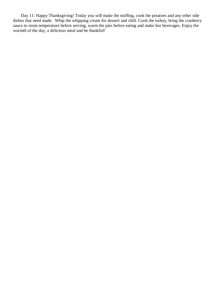Day 11: Happy Thanksgiving! Today you will make the stuffing, cook the potatoes and any other side dishes that need made. Whip the whipping cream for dessert and chill. Cook the turkey, bring the cranberry sauce to room temperature before serving, warm the pies before eating and make hot beverages. Enjoy the warmth of the day, a delicious meal and be thankful!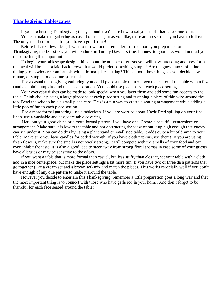# <span id="page-22-0"></span>**[Thanksgiving](#page-4-0) Tablescapes**

If you are hosting Thanksgiving this year and aren't sure how to set your table, here are some ideas!

You can make the gathering as casual or as elegant as you like, there are no set rules you have to follow. The only rule I enforce is that you have a good time!

Before I share a few ideas, I want to throw out the reminder that the more you prepare before Thanksgiving, the less stress you will endure on Turkey Day. It is true. I honest to goodness would not kid you on something this important!.

To begin your tablescape design, think about the number of guests you will have attending and how formal the meal will be. Is it a laid-back crowd that would prefer something simple? Are the guests more of a finedining group who are comfortable with a formal place setting? Think about these things as you decide how ornate, or simple, to decorate your table.

For a casual thanksgiving gathering, you could place a table runner down the center of the table with a few candles, mini pumpkins and nuts as decoration. You could use placemats at each place setting.

Your everyday dishes can be made to look special when you layer them and add some fun accents to the table. Think about placing a large pinecone at each place setting and fastening a piece of thin wire around the top. Bend the wire to hold a small place card. This is a fun way to create a seating arrangement while adding a little pop of fun to each place setting.

For a more formal gathering, use a tablecloth. If you are worried about Uncle Fred spilling on your fine linen, use a washable and easy care table covering.

Haul out your good china or a more formal pattern if you have one. Create a beautiful centerpiece or arrangement. Make sure it is low to the table and not obstructing the view or put it up high enough that guests can see under it. You can do this by using a plant stand or small side table. It adds quite a bit of drama to your table. Make sure you have candles for added warmth. If you have cloth napkins, use them! If you are using fresh flowers, make sure the smell is not overly strong. It will compete with the smells of your food and can even inhibit the taste. It is also a good idea to steer away from strong floral aromas in case some of your guests have allergies or may be sensitive to the odors.

If you want a table that is more formal than casual, but less stuffy than elegant, set your table with a cloth, add in a nice centerpiece, but make the place settings a bit more fun. If you have two or three dish patterns that go together (like a cream set and a brown set) mix and match the pieces. This works especially well if you don't have enough of any one pattern to make it around the table.

However you decide to entertain this Thanksgiving, remember a little preparation goes a long way and that the most important thing is to connect with those who have gathered in your home. And don't forget to be thankful for each face seated around the table!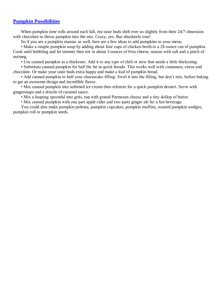# <span id="page-23-0"></span>**[Pumpkin Possibilities](#page-4-0)**

When pumpkin time rolls around each fall, my taste buds shift ever so slightly from their 24/7 obsession with chocolate to throw pumpkin into the mix. Crazy, yes. But absolutely true!

So if you are a pumpkin maniac as well, here are a few ideas to add pumpkins to your menu.

• Make a simple pumpkin soup by adding about four cups of chicken broth to a 28-ounce can of pumpkin. Cook until bubbling and let simmer then stir in about 3 ounces of Feta cheese, season with salt and a pinch of nutmeg.

• Use canned pumpkin as a thickener. Add it to any type of chili or stew that needs a little thickening.

• Substitute canned pumpkin for half the fat in quick breads. This works well with cinnamon, citrus and chocolate. Or make your taste buds extra happy and make a loaf of pumpkin bread.

• Add canned pumpkin to half your cheesecake filling. Swirl it into the filling, but don't mix, before baking to get an awesome design and incredible flavor.

• Mix canned pumpkin into softened ice cream then refreeze for a quick pumpkin dessert. Serve with gingersnaps and a drizzle of caramel sauce.

• Mix a heaping spoonful into grits, top with grated Parmesan cheese and a tiny dollop of butter.

• Mix canned pumpkin with one part apple cider and two parts ginger ale for a fun beverage.

You could also make pumpkin polenta, pumpkin cupcakes, pumpkin muffins, roasted pumpkin wedges, pumpkin roll or pumpkin seeds.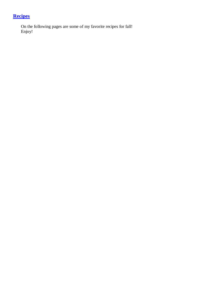# <span id="page-24-0"></span>**[Recipes](#page-4-0)**

On the following pages are some of my favorite recipes for fall! Enjoy!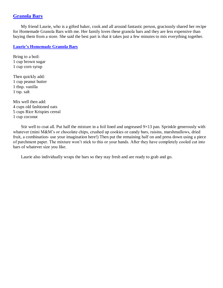# <span id="page-25-0"></span>**[Granola Bars](#page-4-0)**

My friend Laurie, who is a gifted baker, cook and all around fantastic person, graciously shared her recipe for Homemade Granola Bars with me. Her family loves these granola bars and they are less expensive than buying them from a store. She said the best part is that it takes just a few minutes to mix everything together.

## **[Laurie's Homemade Granola Bars](http://savvyentertaining.com/2009/10/23/homemade-granola-bars/)**

Bring to a boil: 1 cup brown sugar 1 cup corn syrup

Then quickly add: 1 cup peanut butter 1 tbsp. vanilla 1 tsp. salt

Mix well then add: 4 cups old fashioned oats 5 cups Rice Krispies cereal 1 cup coconut

Stir well to coat all. Put half the mixture in a foil lined and ungreased  $9\times13$  pan. Sprinkle generously with whatever (mini M&M's or chocolate chips, crushed up cookies or candy bars, raisins, marshmallows, dried fruit, a combination- use your imagination here!) Then put the remaining half on and press down using a piece of parchment paper. The mixture won't stick to this or your hands. After they have completely cooled cut into bars of whatever size you like.

Laurie also individually wraps the bars so they stay fresh and are ready to grab and go.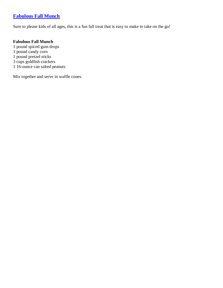# <span id="page-26-0"></span>**[Fabulous Fall Munch](#page-4-0)**

Sure to please kids of all ages, this is a fun fall treat that is easy to make to take on the go!

# **Fabulous Fall Munch**

- 1 pound spiced gum drops 1 pound candy corn 1 pound pretzel sticks 3 cups goldfish crackers 1 16-ounce can salted peanuts
- Mix together and serve in waffle cones.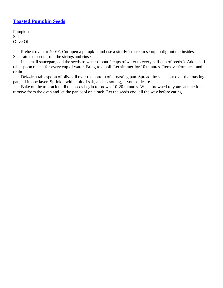# <span id="page-27-0"></span>**[Toasted Pumpkin Seeds](#page-4-0)**

Pumpkin Salt Olive Oil

Preheat oven to 400°F. Cut open a pumpkin and use a sturdy ice cream scoop to dig out the insides. Separate the seeds from the strings and rinse.

In a small saucepan, add the seeds to water (about 2 cups of water to every half cup of seeds.) Add a half tablespoon of salt for every cup of water. Bring to a boil. Let simmer for 10 minutes. Remove from heat and drain.

Drizzle a tablespoon of olive oil over the bottom of a roasting pan. Spread the seeds out over the roasting pan, all in one layer. Sprinkle with a bit of salt, and seasoning, if you so desire.

Bake on the top rack until the seeds begin to brown, 10-20 minutes. When browned to your satisfaction, remove from the oven and let the pan cool on a rack. Let the seeds cool all the way before eating.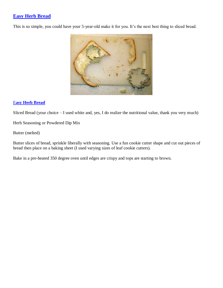# <span id="page-28-0"></span>**[Easy Herb Bread](#page-4-0)**

This is so simple, you could have your 5-year-old make it for you. It's the next best thing to sliced bread.



# E**[asy Herb Bread](http://savvyentertaining.com/2010/10/22/easy-herb-bread/)**

Sliced Bread (your choice – I used white and, yes, I do realize the nutritional value, thank you very much)

Herb Seasoning or Powdered Dip Mix

Butter (melted)

Butter slices of bread, sprinkle liberally with seasoning. Use a fun cookie cutter shape and cut out pieces of bread then place on a baking sheet (I used varying sizes of leaf cookie cutters).

Bake in a pre-heated 350 degree oven until edges are crispy and tops are starting to brown.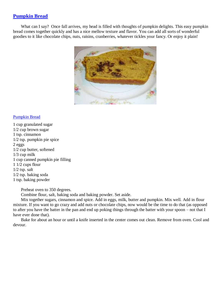# <span id="page-29-0"></span>**[Pumpkin](#page-4-0) Bread**

What can I say? Once fall arrives, my head is filled with thoughts of pumpkin delights. This easy pumpkin bread comes together quickly and has a nice mellow texture and flavor. You can add all sorts of wonderful goodies to it like chocolate chips, nuts, raisins, cranberries, whatever tickles your fancy. Or enjoy it plain!



## [Pumpkin Bread](http://savvyentertaining.com/2010/11/18/pumpkin-bread/)

1 cup granulated sugar 1/2 cup brown sugar 1 tsp. cinnamon 1/2 tsp. pumpkin pie spice 2 eggs 1/2 cup butter, softened 1/3 cup milk 1 cup canned pumpkin pie filling 1 1/2 cups flour 1/2 tsp. salt 1/2 tsp. baking soda 1 tsp. baking powder

Preheat oven to 350 degrees.

Combine flour, salt, baking soda and baking powder. Set aside.

Mix together sugars, cinnamon and spice. Add in eggs, milk, butter and pumpkin. Mix well. Add in flour mixture. If you want to go crazy and add nuts or chocolate chips, now would be the time to do that (as opposed to after you have the batter in the pan and end up poking things through the batter with your spoon – not that I have ever done that).

Bake for about an hour or until a knife inserted in the center comes out clean. Remove from oven. Cool and devour.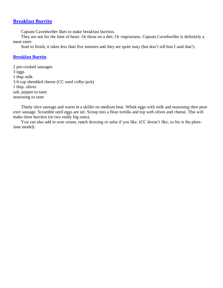# <span id="page-30-0"></span>**[Breakfast Burrito](#page-4-0)**

Captain Cavedweller likes to make breakfast burritos.

They are not for the faint of heart. Or those on a diet. Or vegetarians. Captain Cavedweller is definitely a meat eater.

Start to finish, it takes less than five minutes and they are quite tasty (but don't tell him I said that!).

## **[Breakfast Burrito](http://savvyentertaining.com/2012/08/17/breakfast-burrito/)**

2 pre-cooked sausages 3 eggs 1 tbsp milk 1/4 cup shredded cheese (CC used colby-jack) 1 tbsp. olives salt, pepper to taste seasoning to taste

Thinly slice sausage and warm in a skillet on medium heat. Whisk eggs with milk and seasoning then pour over sausage. Scramble until eggs are set. Scoop into a flour tortilla and top with olives and cheese. This will make three burritos (or two really big ones).

You can also add in sour cream, ranch dressing or salsa if you like. (CC doesn't like, so his is the plain-Jane model).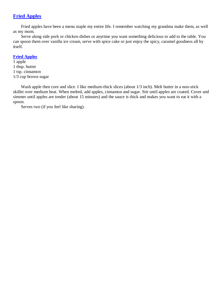# <span id="page-31-0"></span>**[Fried Apples](#page-4-0)**

Fried apples have been a menu staple my entire life. I remember watching my grandma make them, as well as my mom.

Serve along side pork or chicken dishes or anytime you want something delicious to add to the table. You can spoon them over vanilla ice cream, serve with spice cake or just enjoy the spicy, caramel goodness all by itself.

### **[Fried Apples](http://savvyentertaining.com/2012/02/03/fried-apples/)**

1 apple 1 tbsp. butter 1 tsp. cinnamon 1/3 cup brown sugar

Wash apple then core and slice. I like medium-thick slices (about 1/3 inch). Melt butter in a non-stick skillet over medium heat. When melted, add apples, cinnamon and sugar. Stir until apples are coated. Cover and simmer until apples are tender (about 15 minutes) and the sauce is thick and makes you want to eat it with a spoon.

Serves two (if you feel like sharing).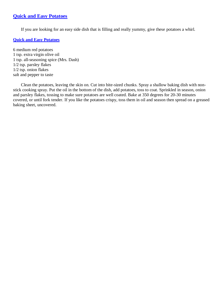# <span id="page-32-0"></span>**[Quick and Easy Potatoes](#page-4-0)**

If you are looking for an easy side dish that is filling and really yummy, give these potatoes a whirl.

### **[Quick and Easy Potatoes](http://savvyentertaining.com/2010/03/12/quick-and-easy-potatoes/)**

6 medium red potatoes 1 tsp. extra virgin olive oil 1 tsp. all-seasoning spice (Mrs. Dash) 1/2 tsp. parsley flakes 1/2 tsp. onion flakes salt and pepper to taste

Clean the potatoes, leaving the skin on. Cut into bite-sized chunks. Spray a shallow baking dish with nonstick cooking spray. Put the oil in the bottom of the dish, add potatoes, toss to coat. Sprinkled in season, onion and parsley flakes, tossing to make sure potatoes are well coated. Bake at 350 degrees for 20-30 minutes covered, or until fork tender. If you like the potatoes crispy, toss them in oil and season then spread on a greased baking sheet, uncovered.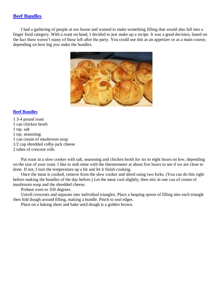# <span id="page-33-0"></span>**[Beef Bundles](#page-4-0)**

I had a gathering of people at our house and wanted to make something filling that would also fall into a finger food category. With a roast on hand, I decided to just make up a recipe. It was a good decision, based on the fact there weren't many of these left after the party. You could use this as an appetizer or as a main course, depending on how big you make the bundles.



## **[Beef Bundles](http://savvyentertaining.com/2012/01/06/beef-bundles/)**

1 3-4 pound roast 1 can chicken broth 1 tsp. salt 1 tsp. seasoning 1 can cream of mushroom soup 1/2 cup shredded colby-jack cheese 2 tubes of crescent rolls

Put roast in a slow cooker with salt, seasoning and chicken broth for six to eight hours on low, depending on the size of your roast. I like to stab mine with the thermometer at about five hours to see if we are close to done. If not, I turn the temperature up a bit and let it finish cooking.

Once the meat is cooked, remove from the slow cooker and shred using two forks. (You can do this right before making the bundles of the day before.) Let the meat cool slightly, then mix in one can of cream of mushroom soup and the shredded cheese.

Preheat oven to 350 degrees.

Unroll crescents and separate into individual triangles. Place a heaping spoon of filling into each triangle then fold dough around filling, making a bundle. Pinch to seal edges.

Place on a baking sheet and bake until dough is a golden brown.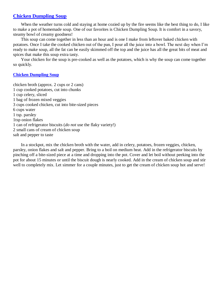# <span id="page-34-0"></span>**[Chicken Dumpling Soup](#page-4-0)**

When the weather turns cold and staying at home cozied up by the fire seems like the best thing to do, I like to make a pot of homemade soup. One of our favorites is Chicken Dumpling Soup. It is comfort in a savory, steamy bowl of creamy goodness!

This soup can come together in less than an hour and is one I make from leftover baked chicken with potatoes. Once I take the cooked chicken out of the pan, I pour all the juice into a bowl. The next day when I'm ready to make soup, all the fat can be easily skimmed off the top and the juice has all the great bits of meat and spices that make this soup extra tasty.

Your chicken for the soup is pre-cooked as well as the potatoes, which is why the soup can come together so quickly.

## **[Chicken Dumpling Soup](http://savvyentertaining.com/2009/11/06/chicken-dumpling-soup/)**

chicken broth (approx. 2 cups or 2 cans) 1 cup cooked potatoes, cut into chunks 1 cup celery, sliced 1 bag of frozen mixed veggies 3 cups cooked chicken, cut into bite-sized pieces 6 cups water 1 tsp. parsley 1tsp onion flakes 1 can of refrigerator biscuits (*do not* use the flaky variety!) 2 small cans of cream of chicken soup salt and pepper to taste

In a stockpot, mix the chicken broth with the water, add in celery, potatoes, frozen veggies, chicken, parsley, onion flakes and salt and pepper. Bring to a boil on medium heat. Add in the refrigerator biscuits by pinching off a bite-sized piece at a time and dropping into the pot. Cover and let boil without peeking into the pot for about 15 minutes or until the biscuit dough is nearly cooked. Add in the cream of chicken soup and stir well to completely mix. Let simmer for a couple minutes, just to get the cream of chicken soup hot and serve!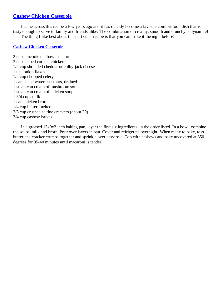# <span id="page-35-0"></span>**[Cashew Chicken Casserole](#page-4-0)**

I came across this recipe a few years ago and it has quickly become a favorite comfort food dish that is tasty enough to serve to family and friends alike. The combination of creamy, smooth and crunchy is dynamite!

The thing I like best about this particular recipe is that you can make it the night before!

## **[Cashew Chicken Casserole](http://savvyentertaining.com/2010/01/22/cashew-chicken-casserole/)**

2 cups uncooked elbow macaroni 3 cups cubed cooked chicken 1/2 cup shredded cheddar or colby-jack cheese 1 tsp. onion flakes 1/2 cup chopped celery 1 can sliced water chestnuts, drained 1 small can cream of mushroom soup 1 small can cream of chicken soup 1 3/4 cups milk 1 can chicken broth 1/4 cup butter, melted 2/3 cup crushed saltine crackers (about 20) 3/4 cup cashew halves

In a greased 13x9x2 inch baking pan, layer the first six ingredients, in the order listed. In a bowl, combine the soups, milk and broth. Pour over layers in pan. Cover and refrigerate overnight. When ready to bake, toss butter and cracker crumbs together and sprinkle over casserole. Top with cashews and bake uncovered at 350 degrees for 35-40 minutes until macaroni is tender.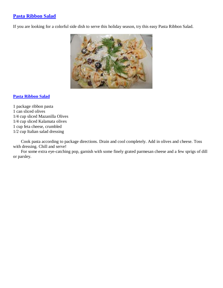# <span id="page-36-0"></span>**[Pasta Ribbon Salad](#page-4-0)**

If you are looking for a colorful side dish to serve this holiday season, try this easy Pasta Ribbon Salad.



## **[Pasta Ribbon Salad](http://savvyentertaining.com/2011/12/20/pasta-ribbon-salad/)**

1 package ribbon pasta 1 can sliced olives 1/4 cup sliced Mazanilla Olives 1/4 cup sliced Kalamata olives 1 cup feta cheese, crumbled 1/2 cup Italian salad dressing

Cook pasta according to package directions. Drain and cool completely. Add in olives and cheese. Toss with dressing. Chill and serve!

For some extra eye-catching pop, garnish with some finely grated parmesan cheese and a few sprigs of dill or parsley.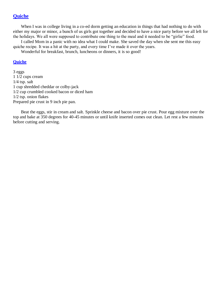# <span id="page-37-0"></span>**[Quiche](#page-4-0)**

When I was in college living in a co-ed dorm getting an education in things that had nothing to do with either my major or minor, a bunch of us girls got together and decided to have a nice party before we all left for the holidays. We all were supposed to contribute one thing to the meal and it needed to be "girlie" food.

I called Mom in a panic with no idea what I could make. She saved the day when she sent me this easy quiche recipe. It was a hit at the party, and every time I've made it over the years.

Wonderful for breakfast, brunch, luncheons or dinners, it is so good!

## **[Quiche](http://savvyentertaining.com/2009/09/18/easy-quiche/)**

3 eggs 1 1/2 cups cream 1/4 tsp. salt 1 cup shredded cheddar or colby-jack 1/2 cup crumbled cooked bacon or diced ham 1/2 tsp. onion flakes Prepared pie crust in 9 inch pie pan.

Beat the eggs, stir in cream and salt. Sprinkle cheese and bacon over pie crust. Pour egg mixture over the top and bake at 350 degrees for 40-45 minutes or until knife inserted comes out clean. Let rest a few minutes before cutting and serving.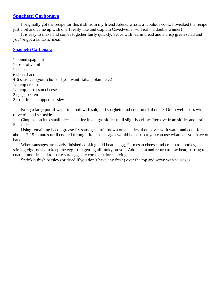# <span id="page-38-0"></span>**[Spaghetti Carbonara](#page-4-0)**

I originally got the recipe for this dish from my friend Jolene, who is a fabulous cook. I tweaked the recipe just a bit and came up with one I really like and Captain Cavedweller will eat – a double winner!

It is easy to make and comes together fairly quickly. Serve with warm bread and a crisp green salad and you've got a fantastic meal.

## **[Spaghetti Carbonara](http://savvyentertaining.com/2012/06/01/spaghetti-carbonara/)**

1 pound spaghetti 1 tbsp. olive oil 1 tsp. salt 6 slices bacon 4-6 sausages (your choice if you want Italian, plain, etc.) 1/2 cup cream 1/2 cup Parmesan cheese 2 eggs, beaten 2 tbsp. fresh chopped parsley

Bring a large pot of water to a boil with salt, add spaghetti and cook until al dente. Drain well. Toss with olive oil, and set aside.

Chop bacon into small pieces and fry in a large skillet until slightly crispy. Remove from skillet and drain. Set aside.

Using remaining bacon grease fry sausages until brown on all sides, then cover with water and cook for about 12-15 minutes until cooked through. Italian sausages would be best but you can use whatever you have on hand.

When sausages are nearly finished cooking, add beaten egg, Parmesan cheese and cream to noodles, stirring vigorously to keep the egg from getting all funky on you. Add bacon and return to low heat, stirring to coat all noodles and to make sure eggs are cooked before serving.

Sprinkle fresh parsley (or dried if you don't have any fresh) over the top and serve with sausages.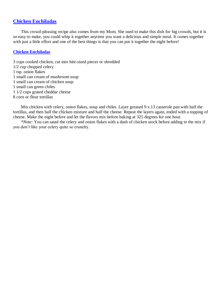# <span id="page-39-0"></span>**[Chicken Enchiladas](#page-4-0)**

This crowd-pleasing recipe also comes from my Mom. She used to make this dish for big crowds, but it is so easy to make, you could whip it together anytime you want a delicious and simple meal. It comes together with just a little effort and one of the best things is that you can put it together the night before!

## **[Chicken Enchiladas](http://savvyentertaining.com/2010/01/29/chicken-enchiladas/)**

3 cups cooked chicken, cut into bite-sized pieces or shredded 1/2 cup chopped celery 1 tsp. onion flakes 1 small can cream of mushroom soup 1 small can cream of chicken soup 1 small can green chiles 1 1/2 cups grated cheddar cheese 8 corn or flour tortillas

Mix chicken with celery, onion flakes, soup and chiles. Layer greased 9 x 13 casserole pan with half the tortillas, and then half the chicken mixture and half the cheese. Repeat the layers again, ended with a topping of cheese. Make the night before and let the flavors mix before baking at 325 degrees for one hour.

*\*Note:* You can sauté the celery and onion flakes with a dash of chicken stock before adding to the mix if you don't like your celery quite so crunchy.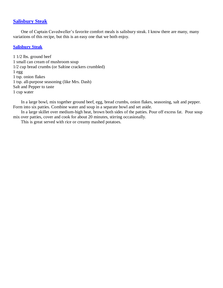# <span id="page-40-0"></span>**[Salisbury Steak](#page-4-0)**

One of Captain Cavedweller's favorite comfort meals is salisbury steak. I know there are many, many variations of this recipe, but this is an easy one that we both enjoy.

## **[Salisbury Steak](http://savvyentertaining.com/2010/01/15/comforting-salisbury-steak/)**

1 1/2 lbs. ground beef 1 small can cream of mushroom soup 1/2 cup bread crumbs (or Saltine crackers crumbled) 1 egg 1 tsp. onion flakes 1 tsp. all-purpose seasoning (like Mrs. Dash) Salt and Pepper to taste 1 cup water

In a large bowl, mix together ground beef, egg, bread crumbs, onion flakes, seasoning, salt and pepper. Form into six patties. Combine water and soup in a separate bowl and set aside.

In a large skillet over medium-high heat, brown both sides of the patties. Pour off excess fat. Pour soup mix over patties, cover and cook for about 20 minutes, stirring occasionally.

This is great served with rice or creamy mashed potatoes.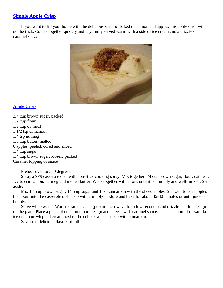# <span id="page-41-0"></span>**Simple [Apple Crisp](#page-4-0)**

If you want to fill your home with the delicious scent of baked cinnamon and apples, this apple crisp will do the trick. Comes together quickly and is yummy served warm with a side of ice cream and a drizzle of caramel sauce.



## **[Apple Crisp](http://savvyentertaining.com/2009/11/13/simple-apple-crisp/)**

3/4 cup brown sugar, packed 1/2 cup flour 1/2 cup oatmeal 1 1/2 tsp cinnamon 1/4 tsp nutmeg 1/3 cup butter, melted 6 apples, peeled, cored and sliced 1/4 cup sugar 1/4 cup brown sugar, loosely packed Caramel topping or sauce

Preheat oven to 350 degrees.

Spray a 9×9 casserole dish with non-stick cooking spray. Mix together 3/4 cup brown sugar, flour, oatmeal, 1/2 tsp cinnamon, nutmeg and melted butter. Work together with a fork until it is crumbly and well- mixed. Set aside.

Mix 1/4 cup brown sugar, 1/4 cup sugar and 1 tsp cinnamon with the sliced apples. Stir well to coat apples then pour into the casserole dish. Top with crumbly mixture and bake for about 35-40 minutes or until juice is bubbly.

Serve while warm. Warm caramel sauce (pop in microwave for a few seconds) and drizzle in a fun design on the plate. Place a piece of crisp on top of design and drizzle with caramel sauce. Place a spoonful of vanilla ice cream or whipped cream next to the cobbler and sprinkle with cinnamon.

Savor the delicious flavors of fall!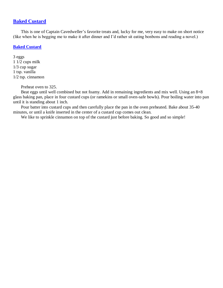# <span id="page-42-0"></span>**[Baked Custard](#page-4-0)**

This is one of Captain Cavedweller's favorite treats and, lucky for me, very easy to make on short notice (like when he is begging me to make it after dinner and I'd rather sit eating bonbons and reading a novel.)

## **[Baked Custard](http://savvyentertaining.com/2010/10/29/baked-custard/)**

3 eggs 1 1/2 cups milk 1/3 cup sugar 1 tsp. vanilla 1/2 tsp. cinnamon

Preheat oven to 325.

Beat eggs until well combined but not foamy. Add in remaining ingredients and mix well. Using an 8×8 glass baking pan, place in four custard cups (or ramekins or small oven-safe bowls). Pour boiling water into pan until it is standing about 1 inch.

Pour batter into custard cups and then carefully place the pan in the oven preheated. Bake about 35-40 minutes, or until a knife inserted in the center of a custard cup comes out clean.

We like to sprinkle cinnamon on top of the custard just before baking. So good and so simple!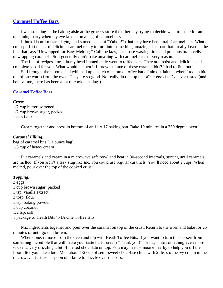## <span id="page-43-0"></span>**[Caramel Toffee Bars](#page-4-0)**

I was standing in the baking aisle at the grocery store the other day trying to decide what to make for an upcoming party when my eye landed on a bag of caramel bits.

I think I heard music playing and someone shout "Yahoo!" (that may have been me). Caramel bits. What a concept. Little bits of delicious caramel ready to turn into something amazing. The part that I really loved is the line that says "Unwrapped for Easy Melting." Call me lazy, but I hate wasting time and precious brain cells unwrapping caramels. So I generally don't bake anything with caramel for that very reason.

The file of recipes stored in my head immediately went to toffee bars. They are moist and delicious and completely bad for you. What would happen if I threw in some of these caramel bits? I had to find out!

So I brought them home and whipped up a batch of caramel toffee bars. I almost fainted when I took a bite out of one warm from the oven. They are so good. No really, in the top ten of bar cookies I've ever tasted (and believe me, there has been a lot of cookie tasting!).

### **[Caramel Toffee Bars](http://savvyentertaining.com/2010/09/24/caramel-toffee-bars/)**

### *Crust:*

1/2 cup butter, softened 1/2 cup brown sugar, packed 1 cup flour

Cream together and press in bottom of an 11 x 17 baking pan. Bake 10 minutes in a 350 degree oven.

### *Caramel Filling:*

bag of caramel bits (11 ounce bag) 1/3 cup of heavy cream

Put caramels and cream in a microwave safe bowl and heat in 30-second intervals, stirring until caramels are melted. If you aren't a lazy slug like me, you could use regular caramels. You'll need about 2 cups. When melted, pour over the top of the cooked crust.

## *Topping:*

2 eggs 1 cup brown sugar, packed 1 tsp. vanilla extract 2 tbsp. flour 1 tsp. baking powder 1 cup coconut 1/2 tsp. salt 1 package of Heath Bits 'o Brickle Toffee Bits

Mix ingredients together and pour over the caramel on top of the crust. Return to the oven and bake for 25 minutes or until golden brown.

When done, remove from the oven and top with Heath Toffee Bits. If you want to turn this dessert from something incredible that will make your taste buds scream "Thank you!" for days into something even more wicked…. try drizzling a bit of melted chocolate on top. You may need someone nearby to help you off the floor after you take a bite. Melt about 1/2 cup of semi-sweet chocolate chips with 2 tbsp. of heavy cream in the microwave. Just use a spoon or a knife to drizzle over the bars.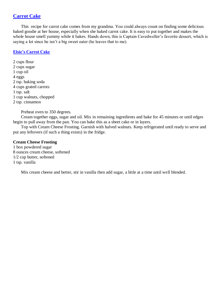# <span id="page-44-0"></span>**[Carrot Cake](#page-4-0)**

This recipe for carrot cake comes from my grandma. You could always count on finding some delicious baked goodie at her house, especially when she baked carrot cake. It is easy to put together and makes the whole house smell yummy while it bakes. Hands down, this is Captain Cavedweller's favorite dessert, which is saying a lot since he isn't a big sweet eater (he leaves that to me).

## **[Elsie's Carrot Cake](http://savvyentertaining.com/2009/09/11/delicious-carrot-cake/)**

2 cups flour 2 cups sugar 1 cup oil 4 eggs 2 tsp. baking soda 4 cups grated carrots 1 tsp. salt 1 cup walnuts, chopped 2 tsp. cinnamon

Preheat oven to 350 degrees.

Cream together eggs, sugar and oil. Mix in remaining ingredients and bake for 45 minutes or until edges begin to pull away from the pan. You can bake this as a sheet cake or in layers.

Top with Cream Cheese Frosting. Garnish with halved walnuts. Keep refrigerated until ready to serve and put any leftovers (if such a thing exists) in the fridge.

## **Cream Cheese Frosting**

1 box powdered sugar 8 ounces cream cheese, softened 1/2 cup butter, softened 1 tsp. vanilla

Mix cream cheese and better, stir in vanilla then add sugar, a little at a time until well blended.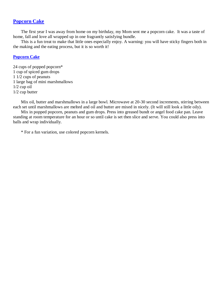# <span id="page-45-0"></span>**[Popcorn Cake](#page-4-0)**

The first year I was away from home on my birthday, my Mom sent me a popcorn cake. It was a taste of home, fall and love all wrapped up in one fragrantly satisfying bundle.

This is a fun treat to make that little ones especially enjoy. A warning: you will have sticky fingers both in the making and the eating process, but it is so worth it!

## **[Popcorn Cake](http://savvyentertaining.com/2009/10/09/popcorn-cake/)**

24 cups of popped popcorn\* 1 cup of spiced gum drops 1 1/2 cups of peanuts 1 large bag of mini marshmallows 1/2 cup oil 1/2 cup butter

Mix oil, butter and marshmallows in a large bowl. Microwave at 20-30 second increments, stirring between each set until marshmallows are melted and oil and butter are mixed in nicely. (It will still look a little oily).

Mix in popped popcorn, peanuts and gum drops. Press into greased bundt or angel food cake pan. Leave standing at room temperature for an hour or so until cake is set then slice and serve. You could also press into balls and wrap individually.

\* For a fun variation, use colored popcorn kernels.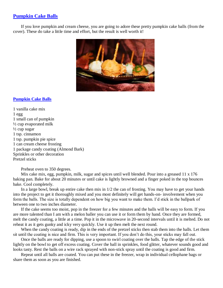# <span id="page-46-0"></span>**[Pumpkin Cake Balls](#page-4-0)**

If you love pumpkin and cream cheese, you are going to adore these pretty pumpkin cake balls (from the cover). These do take a little time and effort, but the result is well worth it!



## **[Pumpkin Cake Balls](http://savvyentertaining.com/2012/08/24/pumpkin-cake-balls/)**

1 vanilla cake mix 1 egg 1 small can of pumpkin ½ cup evaporated milk  $\frac{1}{2}$  cup sugar 1 tsp. cinnamon 1 tsp. pumpkin pie spice 1 can cream cheese frosting 1 package candy coating (Almond Bark) Sprinkles or other decoration Pretzel sticks

Preheat oven to 350 degrees.

Mix cake mix, egg, pumpkin, milk, sugar and spices until well blended. Pour into a greased 11 x 176 baking pan. Bake for about 20 minutes or until cake is lightly browned and a finger poked in the top bounces bake. Cool completely.

In a large bowl, break up entire cake then mix in 1/2 the can of frosting. You may have to get your hands into the project to get it thoroughly mixed and you most definitely will get hands-on- involvement when you form the balls. The size is totally dependent on how big you want to make them. I'd stick in the ballpark of between one to two inches diameter.

If the cake seems too moist, pop in the freezer for a few minutes and the balls will be easy to form. If you are more talented than I am with a melon baller you can use it or form them by hand. Once they are formed, melt the candy coating, a little at a time. Pop it in the microwave in 20-second intervals until it is melted. Do not reheat it as it gets gunky and icky very quickly. Use it up then melt the next round.

When the candy coating is ready, dip in the ends of the pretzel sticks then stab them into the balls. Let them sit until the coating is nice and firm. This is very important. If you don't do this, your sticks may fall out.

Once the balls are ready for dipping, use a spoon to swirl coating over the balls. Tap the edge of the stick lightly on the bowl to get off excess coating. Cover the ball in sprinkles, food glitter, whatever sounds good and looks tasty. Rest the balls on a wire rack sprayed with non-stick spray until the coating is good and firm.

Repeat until all balls are coated. You can put these in the freezer, wrap in individual cellophane bags or share them as soon as you are finished.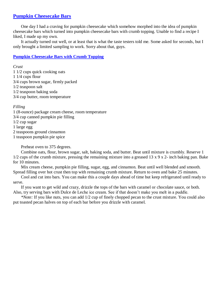# <span id="page-47-0"></span>**[Pumpkin Cheesecake Bars](#page-4-0)**

One day I had a craving for pumpkin cheesecake which somehow morphed into the idea of pumpkin cheesecake bars which turned into pumpkin cheesecake bars with crumb topping. Unable to find a recipe I liked, I made up my own.

It actually turned out well, or at least that is what the taste testers told me. Some asked for seconds, but I only brought a limited sampling to work. Sorry about that, guys.

## **[Pumpkin Cheesecake Bars with Crumb Topping](http://savvyentertaining.com/2011/10/14/pumpkin-cheesecake-bars-with-crumb-topping/)**

*Crust*

1 1/2 cups quick cooking oats 1 1/4 cups flour 3/4 cups brown sugar, firmly packed 1/2 teaspoon salt 1/2 teaspoon baking soda 3/4 cup butter, room temperature

*Filling*

1 (8-ounce) package cream cheese, room temperature 3/4 cup canned pumpkin pie filling 1/2 cup sugar 1 large egg 2 teaspoons ground cinnamon 1 teaspoon pumpkin pie spice

Preheat oven to 375 degrees.

Combine oats, flour, brown sugar, salt, baking soda, and butter. Beat until mixture is crumbly. Reserve 1 1/2 cups of the crumb mixture, pressing the remaining mixture into a greased 13 x 9 x 2- inch baking pan. Bake for 10 minutes.

Mix cream cheese, pumpkin pie filling, sugar, egg, and cinnamon. Beat until well blended and smooth. Spread filling over hot crust then top with remaining crumb mixture. Return to oven and bake 25 minutes.

Cool and cut into bars. You can make this a couple days ahead of time but keep refrigerated until ready to serve.

If you want to get wild and crazy, drizzle the tops of the bars with caramel or chocolate sauce, or both. Also, try serving bars with Dulce de Leche ice cream. See if that doesn't make you melt in a puddle.

*\*Note:* If you like nuts, you can add 1/2 cup of finely chopped pecan to the crust mixture. You could also put toasted pecan halves on top of each bar before you drizzle with caramel.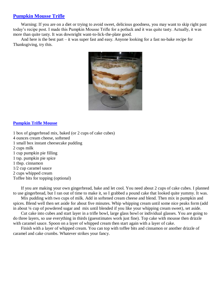# <span id="page-48-0"></span>**[Pumpkin Mousse Trifle](#page-4-0)**

Warning: If you are on a diet or trying to avoid sweet, delicious goodness, you may want to skip right past today's recipe post. I made this Pumpkin Mousse Trifle for a potluck and it was quite tasty. Actually, it was more than quite tasty. It was downright want-to-lick-the-plate good.

And here is the best part – it was super fast and easy. Anyone looking for a fast no-bake recipe for Thanksgiving, try this.



## **[Pumpkin Trifle Mousse](http://savvyentertaining.com/2011/11/18/pumpkin-mousse-trifle/)**

1 box of gingerbread mix, baked (or 2 cups of cake cubes) 4 ounces cream cheese, softened 1 small box instant cheesecake pudding 2 cups milk 1 cup pumpkin pie filling 1 tsp. pumpkin pie spice 1 tbsp. cinnamon 1/2 cup caramel sauce 2 cups whipped cream Toffee bits for topping (optional)

If you are making your own gingerbread, bake and let cool. You need about 2 cups of cake cubes. I planned to use gingerbread, but I ran out of time to make it, so I grabbed a pound cake that looked quite yummy. It was.

Mix pudding with two cups of milk. Add in softened cream cheese and blend. Then mix in pumpkin and spices. Blend well then set aside for about five minutes. Whip whipping cream until some nice peaks form (add in about ¼ cup of powdered sugar and mix until blended if you like your whipping cream sweet), set aside.

Cut cake into cubes and start layer in a trifle bowl, large glass bowl or individual glasses. You are going to do three layers, so use everything in thirds (guesstimates work just fine). Top cake with mousse then drizzle with caramel sauce. Spoon on a layer of whipped cream then start again with a layer of cake.

Finish with a layer of whipped cream. You can top with toffee bits and cinnamon or another drizzle of caramel and cake crumbs. Whatever strikes your fancy.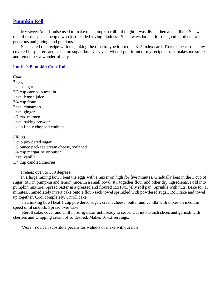# <span id="page-49-0"></span>**[Pumpkin Roll](#page-4-0)**

My sweet Aunt Louise used to make this pumpkin roll. I thought it was divine then and still do. She was one of those special people who just exuded loving kindness. She always looked for the good in others, was generous and giving, and gracious.

She shared this recipe with me, taking the time to type it out on a  $3\times 5$  index card. That recipe card is now covered in splatters and caked on sugar, but every year when I pull it out of my recipe box, it makes me smile and remember a wonderful lady.

## **[Louise's Pumpkin Cake Roll](http://savvyentertaining.com/2011/12/24/pumpkin-roll/)**

*Cake* 3 eggs 1 cup sugar 2/3 cup canned pumpkin 1 tsp. lemon juice 3/4 cup flour 2 tsp. cinnamon 1 tsp. ginger 1/2 tsp. nutmeg 1 tsp. baking powder 1 cup finely chopped walnuts

## *Filling*

1 cup powdered sugar 1 8 ounce package cream cheese, softened 1/4 cup margarine or butter 1 tsp. vanilla 1/4 cup candied cherries

Preheat oven to 350 degrees.

In a large mixing bowl, beat the eggs with a mixer on high for five minutes. Gradually beat in the 1 cup of sugar. Stir in pumpkin and lemon juice. In a small bowl, stir together flour and other dry ingredients. Fold into pumpkin mixture. Spread batter in a greased and floured 15x10x1 jelly roll pan. Sprinkle with nuts. Bake for 15 minutes. Immediately invert cake onto a flour-sack towel sprinkled with powdered sugar. Roll cake and towel up together. Cool completely. Unroll cake.

In a mixing bowl beat 1 cup powdered sugar, cream cheese, butter and vanilla with mixer on medium speed until smooth. Spread over cake.

Reroll cake, cover and chill in refrigerator until ready to serve. Cut into 1-inch slices and garnish with cherries and whipping cream of so desired. Makes 10-12 servings.

*\*Note:* You can substitute pecans for walnuts or make without nuts.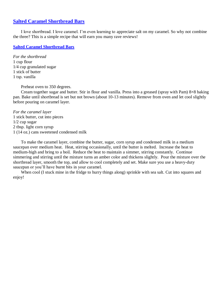# <span id="page-50-0"></span>**[Salted Caramel Shortbread Bars](#page-4-0)**

I love shortbread. I love caramel. I'm even learning to appreciate salt on my caramel. So why not combine the three? This is a simple recipe that will earn you many rave reviews!

## **[Salted Caramel Shortbread Bars](http://savvyentertaining.com/2012/05/18/salted-caramel-shortbread-bars/)**

*For the shortbread* 1 cup flour 1/4 cup granulated sugar 1 stick of butter 1 tsp. vanilla

Preheat oven to 350 degrees.

Cream together sugar and butter. Stir in flour and vanilla. Press into a greased (spray with Pam) 8×8 baking pan. Bake until shortbread is set but not brown (about 10-13 minutes). Remove from oven and let cool slightly before pouring on caramel layer.

*For the caramel layer* 1 stick butter, cut into pieces 1/2 cup sugar 2 tbsp. light corn syrup 1 (14 oz.) cans sweetened condensed milk

To make the caramel layer, combine the butter, sugar, corn syrup and condensed milk in a medium saucepan over medium heat. Heat, stirring occasionally, until the butter is melted. Increase the heat to medium-high and bring to a boil. Reduce the heat to maintain a simmer, stirring constantly. Continue simmering and stirring until the mixture turns an amber color and thickens slightly. Pour the mixture over the shortbread layer, smooth the top, and allow to cool completely and set. Make sure you use a heavy-duty saucepan or you'll have burnt bits in your caramel.

When cool (I stuck mine in the fridge to hurry things along) sprinkle with sea salt. Cut into squares and enjoy!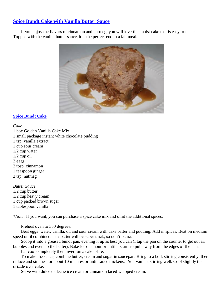# <span id="page-51-0"></span>**[Spice Bundt Cake with Vanilla Butter Sauce](#page-4-0)**

If you enjoy the flavors of cinnamon and nutmeg, you will love this moist cake that is easy to make. Topped with the vanilla butter sauce, it is the perfect end to a fall meal.



## **[Spice Bundt Cake](http://savvyentertaining.com/2011/11/04/spice-bundt-cake-with-vanilla-butter-sauce/)**

*Cake*

1 box Golden Vanilla Cake Mix 1 small package instant white chocolate pudding 1 tsp. vanilla extract 1 cup sour cream 1/2 cup water 1/2 cup oil 3 eggs 2 tbsp. cinnamon 1 teaspoon ginger 2 tsp. nutmeg

*Butter Sauce* 1/2 cup butter 1/2 cup heavy cream 1 cup packed brown sugar 1 tablespoon vanilla

*\*Note:* If you want, you can purchase a spice cake mix and omit the additional spices.

Preheat oven to 350 degrees.

Beat eggs water, vanilla, oil and sour cream with cake batter and pudding. Add in spices. Beat on medium speed until combined. The batter will be super thick, so don't panic.

Scoop it into a greased bundt pan, evening it up as best you can (I tap the pan on the counter to get out air bubbles and even up the batter). Bake for one hour or until it starts to pull away from the edges of the pan.

Let cool completely then invert on a cake plate.

To make the sauce, combine butter, cream and sugar in saucepan. Bring to a boil, stirring consistently, then reduce and simmer for about 10 minutes or until sauce thickens. Add vanilla, stirring well. Cool slightly then drizzle over cake.

Serve with dulce de leche ice cream or cinnamon laced whipped cream.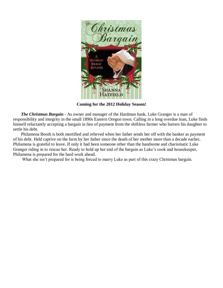

**Coming for the 2012 Holiday Season!**

*The Christmas Bargain -* As owner and manager of the Hardman bank, Luke Granger is a man of responsibility and integrity in the small 1890s Eastern Oregon town. Calling in a long overdue loan, Luke finds himself reluctantly accepting a bargain in lieu of payment from the shiftless farmer who barters his daughter to settle his debt.

Philamena Booth is both mortified and relieved when her father sends her off with the banker as payment of his debt. Held captive on the farm by her father since the death of her mother more than a decade earlier, Philamena is grateful to leave. If only it had been someone other than the handsome and charismatic Luke Granger riding in to rescue her. Ready to hold up her end of the bargain as Luke's cook and housekeeper, Philamena is prepared for the hard work ahead.

What she isn't prepared for is being forced to marry Luke as part of this crazy Christmas bargain.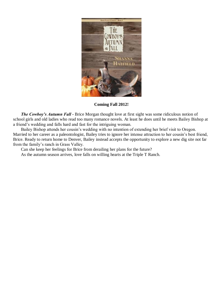

**Coming Fall 2012!**

*The Cowboy's Autumn Fall -* Brice Morgan thought love at first sight was some ridiculous notion of school girls and old ladies who read too many romance novels. At least he does until he meets Bailey Bishop at a friend's wedding and falls hard and fast for the intriguing woman.

Bailey Bishop attends her cousin's wedding with no intention of extending her brief visit to Oregon. Married to her career as a paleontologist, Bailey tries to ignore her intense attraction to her cousin's best friend, Brice. Ready to return home to Denver, Bailey instead accepts the opportunity to explore a new dig site not far from the family's ranch in Grass Valley.

Can she keep her feelings for Brice from derailing her plans for the future?

As the autumn season arrives, love falls on willing hearts at the Triple T Ranch.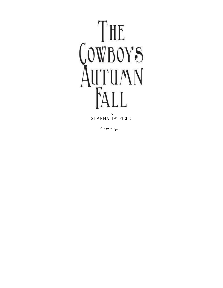# COWBOYS<br>AUTUMN<br>AUTUMN SHANNA HATFIELD

*An excerpt*…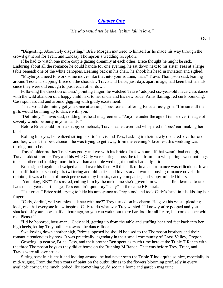## *[Chapter One](#page-4-0)*

*"He who would not be idle, let him fall in love."*

<span id="page-55-0"></span>"Disgusting. Absolutely disgusting," Brice Morgan muttered to himself as he made his way through the crowd gathered for Trent and Lindsay Thompson's wedding reception.

If he had to watch one more couple gazing dreamily at each other, Brice thought he might be sick. Enduring about all the romance he could handle for one evening, he sat down next to his sister Tess at a large table beneath one of the white canopies. Leaning back in his chair, he shook his head in irritation and sighed.

"Maybe you need to work some moves like that into your routine, man," Travis Thompson said, leaning around Tess and slapping Brice on the shoulder. Travis and Brice, just days apart in age, had been best friends since they were old enough to push each other down.

Following the direction of Tess' pointing finger, he watched Travis' adopted six-year-old niece Cass dance with the wild abandon of a happy child next to her uncle and his new bride. Arms flailing, red curls bouncing, Cass spun around and around giggling with giddy excitement.

"That would definitely get you some attention," Tess teased, offering Brice a sassy grin. "I'm sure all the girls would be lining up to dance with you."

"Definitely," Travis said, nodding his head in agreement. "Anyone under the age of ten or over the age of seventy would be putty in your hands."

Before Brice could form a snappy comeback, Travis leaned over and whispered in Tess' ear, making her blush.

Rolling his eyes, he realized sitting next to Travis and Tess, basking in their newly declared love for one another, wasn't the best choice if he was trying to get away from the evening's love fest this wedding was turning out to be.

Travis' older brother Trent was goofy in love with his bride of a few hours. If that wasn't bad enough, Travis' oldest brother Trey and his wife Cady were sitting across the table from him whispering sweet nothings to each other and looking more in love than a couple wed eight months had a right to.

Brice sighed again and swiped a hand over his face. All this talk of love and romance was ridiculous. It was the stuff that kept school girls twittering and old ladies and love-starved women buying romance novels. In his opinion, it was a bunch of mush perpetuated by florists, candy companies, and sappy-minded idiots.

"You okay, BB?" Tess asked, calling him by the nickname she'd given him when she first learned to talk. Less than a year apart in age, Tess couldn't quite say "baby" so the name BB stuck.

"Just great," Brice said, trying to hide his annoyance as Trey stood and took Cady's hand in his, kissing her fingers.

"Cady, darlin', will you please dance with me?" Trey turned on his charm. He gave his wife a pleading look, one that everyone knew inspired Cady to do whatever Trey wanted. "I know you're pooped and you shucked off your shoes half an hour ago, so you can waltz out there barefoot for all I care, but come dance with me. Please?"

"I'd be honored, boss-man," Cady said, getting up from the table and stuffing her tired feet back into her high heels, letting Trey pull her toward the dance-floor.

Swallowing down another sigh, Brice supposed he should be used to the Thompson brothers and their romantic tendencies by now. It was practically legendary in their small community of Grass Valley, Oregon.

Growing up nearby, Brice, Tess, and their brother Ben spent as much time here at the Triple T Ranch with the three Thompson boys as they did at home on the Running M Ranch. That was before Trey, Trent, and Travis were all love struck.

Sitting back in his chair and looking around, he had never seen the Triple T look quite so nice, especially in mid-August. From the fresh coats of paint on the outbuildings to the flowers blooming profusely in every available corner, the ranch looked like something you'd see in a home and garden magazine.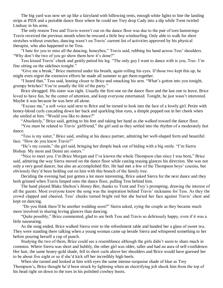The big yard was now set up like a fairyland with billowing tents, enough white lights to line the landing strips at PDX and a portable dance floor where he could see Trey drop Cady into a dip while Trent twirled Lindsay in his arms.

The only reason Tess and Travis weren't out on the dance floor was due to the pair of torn hamstrings Travis received the previous month when he rescued a little boy windsurfing. Only able to walk for short stretches without crutches, dancing wasn't on Travis' current list of activities approved by his physical therapist, who also happened to be Tess.

"I hate for you to miss all the dancing, honeybee," Travis said, rubbing his hand across Tess' shoulders. "Why don't the two of you go show them how it's done?"

Tess kissed Travis' cheek and gently patted his leg. "The only guy I want to dance with is you, Trav. I'm fine sitting on the sidelines tonight."

"Give me a break," Brice muttered under his breath, again rolling his eyes. If those two kept this up, he might even regret the extensive efforts he made all summer to get them together.

"I heard that," Tess said, leaning closer to Brice and smacking his arm. "What's gotten into you tonight, grumpy britches? You're usually the life of the party."

Brice shrugged. His sister was right. Usually the first one on the dance floor and the last one to leave, Brice loved to have fun, be the center of attention, and keep everyone entertained. Tonight, he just wasn't interested. Maybe it was because he was here all alone.

"Excuse me," a soft voice said next to Brice and he turned to look into the face of a lovely girl. Petite with honey-blond curls cascading down her back and sparkling blue eyes, a dimple popped out in her cheek when she smiled at him. "Would you like to dance?"

"Absolutely," Brice said, getting to his feet and taking her hand as she walked toward the dance floor.

"You must be related to Travis' girlfriend," the girl said as they settled into the rhythm of a moderately fast dance.

"Tess is my sister," Brice said, smiling at his dance partner, admiring her well-shaped form and beautiful face. "How do you know Travis?"

"He's my cousin," the girl said, bringing her dimple back out of hiding with a big smile. "I'm Sierra Bishop. My mom and Denni are sisters."

"Nice to meet you. I'm Brice Morgan and I've known the whole Thompson clan since I was born," Brice said, admiring the way Sierra moved on the dance floor while casting teasing glances his direction. She was not only a very good dancer, but also an accomplished flirt. He had met a few of the Thompson boys' cousins, but obviously they'd been holding out on him with this branch of the family tree.

Deciding the evening had just gotten a lot more interesting, Brice asked Sierra for the next dance and they both grinned when Travis limped onto the dance floor, pulling Tess behind him.

The band played Blake Shelton's *Honey Bee*, thanks to Trent and Trey's prompting, drawing the interest of all the guests. Most everyone knew the song was the inspiration behind Travis' nickname for Tess. As they the crowd clapped and cheered, Tess' cheeks turned bright red but she buried her face against Travis' chest and kept on dancing.

"Do you think there'll be another wedding soon?" Sierra asked, eying the couple as they became much more involved in sharing loving glances than dancing.

"Quite possibly," Brice commented, glad to see both Tess and Travis so deliriously happy, even if it was a little nauseating.

As the song ended, Brice walked Sierra over to the refreshment table and handed her a glass of sweet tea. They were standing there talking when a young woman came up beside Sierra and whispered something to her before pouring herself a cup of punch.

Studying the two of them, Brice could see a resemblance although the girls didn't seem to share much in common. Where Sierra was short and bubbly, the other girl was older, taller and had an aura of self-confidence. Her hair, the same honey-gold shade, fell in short curls above her shoulders and Brice would have guessed her to be about five eight or so if she'd kick off her incredibly high heels.

When she turned and looked at him with eyes the same intense turquoise shade of blue as Trey Thompson's, Brice thought he'd been struck by lightning when an electrifying jolt shook him from the top of his head right on down to the toes in his polished cowboy boots.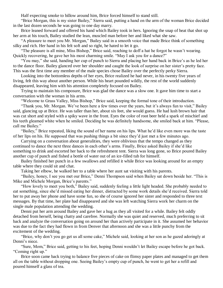Half expecting smoke to billow around him, Brice forced himself to stand still.

"Brice Morgan, this is my sister Bailey," Sierra said, putting a hand on the arm of the woman Brice decided in the last dozen seconds he was going to one day marry.

Brice leaned forward and offered his hand which Bailey took in hers. Ignoring the snap of heat that shot up her arm at his touch, Bailey studied the lean, muscled man before her and liked what she saw.

"A pleasure to meet you Mr. Morgan," Bailey said in a smooth voice that made Brice think of something silky and rich. Her hand in his felt soft and so right, he hated to let it go.

"The pleasure is all mine, Miss Bishop," Brice said, reaching to doff a hat he forgot he wasn't wearing. Quickly recovering, he gave her his most charming smile. "May I ask you for a dance?"

"You may," she said, handing her cup of punch to Sierra and placing her hand back in Brice's as he led her to the dance floor. Bailey glanced over her shoulder and caught the look of surprise on her sister's pretty face. This was the first time any member of the male species chose Bailey over the perfectly perky Sierra.

Looking into the bottomless depths of her eyes, Brice realized he had never, in his twenty five years of living, felt this way about another person. While his heart pounded wildly, the rest of the world suddenly disappeared, leaving him with his attention completely focused on Bailey.

Trying to maintain his composure, Brice was glad the dance was a slow one. It gave him time to start a conversation with the woman in his arms.

"Welcome to Grass Valley, Miss Bishop," Brice said, keeping the formal tone of their introduction.

"Thank you, Mr. Morgan. We've been here a few times over the years, but it's always fun to visit," Bailey said, glancing up at Brice. He was taller than her, about six feet, she would guess. He had lush brown hair that was cut short and styled with a spiky wave in the front. Eyes the color of root beer held a spark of mischief and his teeth gleamed white when he smiled. Deciding he was definitely handsome, she smiled back at him. "Please, call me Bailey."

"Bailey," Brice repeated, liking the sound of her name on his lips. What he'd like even more was the taste of her lips on his. He supposed that was pushing things a bit since they'd just met a few minutes ago.

Carrying on a conversation about generalities, they were oblivious that the tempo changed as they continued to dance the next three dances in each other's arms. Finally, Brice asked Bailey if she'd like something to drink and escorted her back to the refreshment tent. Sierra was long gone, so Brice poured Bailey another cup of punch and fished a bottle of water out of an ice-filled tub for himself.

Bailey finished her punch in a few swallows and refilled it while Brice was looking around for an empty table where they could sit and chat.

Taking her elbow, he walked her to a table where her aunt sat visiting with his parents.

"Bailey, honey, I see you met our Brice," Denni Thompson said when Bailey sat down beside her. "This is Mike and Michele Morgan, Brice's parents."

"How lovely to meet you both," Bailey said, suddenly feeling a little light headed. She probably needed to eat something, since she'd missed eating her dinner, distracted by some work details she'd received. Sierra told her to put away her phone and have some fun, so she of course ignored her sister and responded to three text messages. By that time, her plate had disappeared and she was left watching Sierra work her charm on the single male population attending the wedding.

Denni put her arm around Bailey and gave her a hug as they all visited for a while. Bailey felt oddly detached from herself, being chatty and carefree. Normally she was quiet and reserved, much preferring to sit back and analyze the conversation going on around her than actively participate in it. She assumed her behavior was due to the fact they had flown in from Denver that afternoon and she was a little punchy from the excitement of the wedding.

"Brice, why don't you go get us all some cake," Michele said, looking at her son as he gazed adoringly at Denni's niece.

"Sure, Mom," Brice said, getting to his feet, hoping Denni wouldn't let Bailey escape before he got back. "Coming right up."

Brice soon came back trying to balance five pieces of cake on flimsy paper plates and managed to get them all on the table without dropping one. Seeing Bailey's empty cup of punch, he went to get her a refill and poured himself a glass of tea.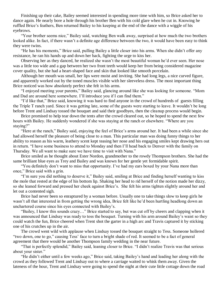Finishing up their cake, Bailey seemed interested in spending more time with him, so Brice asked her to dance again. He nearly bore a hole through his brother Ben with his cold glare when he cut in. Knowing he ruffled Brice's feathers, Ben returned Bailey to his keeping at the end of the dance with a wiggle of his eyebrows.

"Your brother seems nice," Bailey said, watching Ben walk away, surprised at how much the two brothers looked alike. In fact, if there wasn't a definite age difference between the two, it would have been easy to think they were twins.

"He has his moments," Brice said, pulling Bailey a little closer into his arms. When she didn't offer any resistance, he ran his hands up and down her back, fighting the urge to kiss her.

Observing her as they danced, he realized she wasn't the most beautiful woman he'd ever seen. Her nose was a little too wide and a gap between her two front teeth would keep her from being considered magazine cover quality, but she had a heart-shaped face and skin that looked like smooth porcelain.

Although her mouth was small, her lips were moist and inviting. She had long legs, a nice curved figure, and apparently worked out by the toned muscles visible with her sleeveless dress. The most important thing Brice noticed was how absolutely perfect she felt in his arms.

"I enjoyed meeting your parents," Bailey said, glancing around like she was looking for someone. "Mom and Dad are around here somewhere. I'll introduce you if I can find them."

"I'd like that," Brice said, knowing it was hard to find anyone in the crowd of hundreds of guests filling the Triple T ranch yard. Since it was getting late, some of the guests were starting to leave. It wouldn't be long before Trent and Lindsay tossed the bouquet and said their goodbyes, then the cleanup process would begin.

Brice promised to help tear down the tents after the crowd cleared out, so he hoped to spend the next few hours with Bailey. He suddenly wondered if she was staying at the ranch or elsewhere. "Where are you staying?"

"Here at the ranch," Bailey said, enjoying the feel of Brice's arms around her. It had been a while since she had allowed herself the pleasure of being close to a man. This particular man was doing funny things to her ability to reason as his warm, leathery scent kept teasing her nose and his engaging smiles kept drawing hers out in return. "I have some business to attend to Monday and then I'll head back to Denver with the family on Thursday. We all want to make sure we have time to visit with Nana."

Brice smiled as he thought about Ester Nordon, grandmother to the rowdy Thompson brothers. She had the same brilliant blue eyes as Trey and Bailey and was known for her gentle yet formidable spirit.

"You definitely don't want to miss that opportunity. I've had my ears boxed by your Nana more than once," Brice said with a grin.

"I'm sure you did nothing to deserve it," Bailey said, smiling at Brice and finding herself wanting to kiss the mole that rested at the edge of his bottom lip. Shaking her head to rid herself of the notion made her dizzy, so she leaned forward and pressed her cheek against Brice's. She felt his arms tighten slightly around her and let out a contented sigh.

Brice had never been so enraptured by a woman before. Usually one to take things slow to keep girls he wasn't all that interested in from getting the wrong idea, Brice felt like he'd been hurtling headlong down an unchartered course since his eyes connected with Bailey's.

"Bailey, I know this sounds crazy…" Brice started to say, but was cut off by cheers and clapping when it was announced that Lindsay was ready to toss the bouquet. Turning with his arm around Bailey's waist so they could watch the fun, Brice cheered when Trent shot the garter in a high arc and Travis captured it by sticking one of his crutches up in the air.

The crowd went wild with applause when Lindsay tossed the bouquet straight to Tess. Someone hollered "two down, one to go," causing Tess' face to turn a bright shade of red. It seemed to be a fact of general agreement that there would be another Thompson family wedding in the near future.

"That is perfectly splendid," Bailey said, leaning closer to Brice. "I didn't realize Travis was that serious about your sister."

"He didn't either until a few weeks ago," Brice said, taking Bailey's hand and leading her along with the crowd as they followed Trent and Lindsay out to where a carriage waited to whisk them away. Given the lateness of the hour, Trent and Lindsay were going to spend the night at their cute little cottage down the road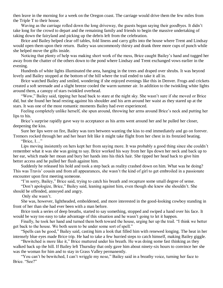then leave in the morning for a week on the Oregon coast. The carriage would drive them the few miles from the Triple T to their house.

Waving as the carriage rolled down the long driveway, the guests began saying their goodbyes. It didn't take long for the crowd to depart and the remaining family and friends to begin the massive undertaking of taking down the fairyland and picking up the debris left from the celebration.

Brice and Bailey helped clear off tables, fold linens and carry gifts into the house where Trent and Lindsay would open them upon their return. Bailey was uncommonly thirsty and drank three more cups of punch while she helped move the gifts inside.

Noticing that plenty of help was making short work of the mess, Brice caught Bailey's hand and tugged her away from the chatter of the others down to the pond where Lindsay and Trent exchanged vows earlier in the evening.

Hundreds of white lights illuminated the area, hanging in the trees and draped over shrubs. It was beyond lovely and Bailey stopped at the bottom of the hill where the trail ended to take it all in.

Brice watched Bailey and smiled, wondering if she enjoyed evenings like this in Denver. Frogs and crickets created a soft serenade and a slight breeze cooled the warm summer air. In addition to the twinkling white lights around them, a canopy of stars twinkled overhead.

"Wow," Bailey said, tipping her head back to stare at the night sky. She wasn't sure if she moved or Brice did, but she found her head resting against his shoulder and his arm around her waist as they stared up at the stars. It was one of the most romantic moments Bailey had ever experienced.

Feeling completely unlike herself, she spun around, throwing her arms around Brice's neck and putting her lips to his.

Brice's surprise rapidly gave way to acceptance as his arms went around her and he pulled her closer, deepening the kiss.

Sure her lips were on fire, Bailey was torn between wanting the kiss to end immediately and go on forever. Tremors rocked through her and her heart felt like it might take flight from her chest in its frenzied beating.

"Brice, I…"

Lips moving insistently on hers kept her from saying more. It was probably a good thing since she couldn't remember what it was she was going to say. Brice worked his way from her lips down her neck and back up to her ear, which made her moan and bury her hands into his thick hair. She tipped her head back to give him better access and he pulled her flush against him.

Suddenly he released his hold and took a step back as reality crashed down on him. What was he doing? This was Travis' cousin and from all appearances, she wasn't the kind of girl to get embroiled in a passionate encounter upon first meeting someone.

"I'm sorry, Bailey," Brice said, trying to catch his breath and recapture some small degree of sense.

"Don't apologize, Brice," Bailey said, leaning against him, even though she knew she shouldn't. She should be offended, annoyed and angry.

Only she wasn't.

She was, however, lightheaded, emboldened, and more interested in the good-looking cowboy standing in front of her than she had ever been with a man before.

Brice took a series of deep breaths, started to say something, stopped and swiped a hand over his face. It would be way too easy to take advantage of this situation and he wasn't going to let it happen.

Finally, he took her hand and turned them both toward the house, urging her up the trail. "I think we better get back to the house. We both seem to be under some sort of spell."

"Spells can be good," Bailey said, casting him a look that filled him with renewed longing. The heat in her intensely blue eyes made Brice trip. He had to take a few hurried steps to catch himself, making Bailey giggle.

"Bewitched is more like it," Brice muttered under his breath. He was doing some fast thinking as they walked back up the hill. If Bailey left Thursday that only gave him about ninety-six hours to convince her she was the woman for him and to stay in Grass Valley permanently.

"You can't be bewitched, I can't wriggle my nose," Bailey said in a breathy voice, turning her face to Brice. "See?"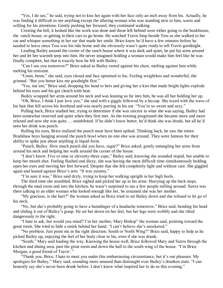"Yes, I do see," he said, trying not to kiss her again with her face only an inch away from his. Actually, he was finding it difficult to see anything except the alluring woman who was standing next to him, warm and willing for his attentions. Gently pushing her forward, they continued walking.

Cresting the hill, it looked like the work was done and those left behind were either going to the bunkhouse, the ranch house, or getting in their cars to go home. He watched Travis limp beside Tess as she walked to her car and whisper something in her ear that made her smile. Brice knew he'd have a few minutes before he needed to leave since Tess was his ride home and she obviously wasn't quite ready to tell Travis goodnight.

Leading Bailey around the corner of the ranch house where it was dark and quiet, he put his arms around her and let her warmth seep into him. He never imagined holding a woman would make him feel like he was finally complete, but that is exactly how he felt with Bailey.

"Can I see you tomorrow?" Brice asked as Bailey rested against his chest, melting against him while melting his restraint.

"Umm, hmm," she said, eyes closed and face upturned to his. Feeling weightless and wonderful, she grinned. "But you better kiss me goodnight first."

"Yes, ma'am," Brice said, dropping his head to hers and giving her a kiss that made bright lights explode behind his eyes and his gut clench with heat.

Bailey wrapped her arms around his neck and was leaning so far into him, he was all but holding her up.

"Oh, Brice, I think I just love you," she said with a giggle followed by a hiccup. She toyed with the wave of his hair that fell across his forehead and was nearly purring in his ear. "You're so sweet and sexy."

Pulling back, Brice studied her, trying to determine if she was sincere in what she was saying. Bailey had been somewhat reserved and quiet when they first met. As the evening progressed she became more and more relaxed and now she was quite … uninhibited. If he didn't know better, he'd think she was drunk, but all he'd seen her drink was punch.

Rolling his eyes, Brice realized the punch must have been spiked. Thinking back, he saw the rotten Bradshaw boys hanging around the punch bowl when no one else was around. They were famous for their ability to spike just about anything in liquid form.

"Punch, Bailey. How much punch did you have, sugar?" Brice asked, gently untangling her arms from around his neck and helping her walk around the corner of the house.

"I don't know. Five or nine or eleventy-three cups," Bailey said, knowing she sounded stupid, but unable to keep her mouth shut. Feeling flushed and dizzy, she was having the most difficult time simultaneously holding open her eyes and moving her feet forward. Despite that she felt completely light and without care. She giggled again and leaned against Brice's arm. "It was yummy."

"I'm sure it was," Brice said dryly, trying to keep her walking upright in her high heels.

The third time she stumbled, Brice sighed and picked her up in his arms. Hurrying up the back steps, through the mud room and into the kitchen, he wasn't surprised to see a few people milling around. Sierra was there talking to an older woman who looked enough like her, he assumed she was her mother.

"My gracious, is she hurt?" the woman asked as Brice tried to set Bailey down and she refused to let go of his neck.

"No, but she's probably going to have a humdinger of a headache tomorrow," Brice said, bending his head and sliding it out of Bailey's grasp. He set her down on her feet, but her legs were wobbly and she tilted dangerously to the right.

"I hate to ask, but would you mind? I'm her mother, Mary Bishop" the woman said, pointing toward the great room. She tried to hide a smirk behind her hand. "I can't believe she's snockered."

"No problem. Just point me in the right direction. South or North Wing?" Brice said, happy to help as he picked Bailey up, enjoying the feel of her body close to his, even if she was drunk.

"South," Mary said leading the way. Knowing the house well, Brice followed Mary and Sierra through the kitchen and dining area, past the great room and down the hall to the south wing of the house. "I'm Brice Morgan, a good friend of Travis'."

"Thank you, Brice. I hate to meet you under this embarrassing circumstance, but it's our pleasure. My apologies for Bailey," Mary said, sounding more amused than distraught over Bailey's drunken state. "I can honestly say she's never been drunk before. I don't know what inspired her to do so this evening."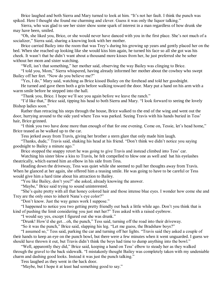Brice laughed and both Sierra and Mary turned to look at him. "It's not her fault. I think the punch was spiked. Here I thought she found me charming and clever. Guess it was only the liquor talking."

Sierra, who was glad to see her sister show some spark of interest in a man regardless of how drunk she may have been, smiled.

"Oh, she liked you, Brice, or she would never have danced with you in the first place. She's not much of a socializer," Sierra said, sharing a knowing look with her mother.

Brice carried Bailey into the room that was Trey's during his growing up years and gently placed her on the bed. When she reached up looking like she would kiss him again, he turned his face so all she got was his cheek. It wasn't that he didn't want about a thousand more kisses from her, he just preferred she be sober without her mom and sister watching.

"Well, isn't that something," her mother said, observing the way Bailey was clinging to Brice.

"I told you, Mom," Sierra whispered, having already informed her mother about the cowboy who swept Bailey off her feet. "Now do you believe me?"

"Yes, I do," Mary said, watching as Brice kissed Bailey on the forehead and told her goodnight.

He turned and gave them both a grin before walking toward the door. Mary put a hand on his arm with a warm smile before he stepped into the hall.

"Thank you, Brice. I hope we'll see you again before we leave the ranch."

"I'd like that," Brice said, tipping his head to both Sierra and Mary. "I look forward to seeing the lovely Bishop ladies soon."

Rather than retracing his steps through the house, Brice walked to the end of the wing and went out the door, hurrying around to the side yard where Tess was parked. Seeing Travis with his hands buried in Tess' hair, Brice grinned.

"I think you two have done more than enough of that for one evening. Come on, Tessie, let's head home," Brice teased as he walked up to the car.

Tess jerked away from Travis, giving her brother a stern glare that only made him laugh.

"Thanks, dude," Travis said, shaking his head at his friend. "Don't think we didn't notice you saying goodnight to Bailey a minute ago."

Brice stopped the snappy retort he was going to give Travis and instead climbed into Tess' car.

Watching his sister blow a kiss to Travis, he felt compelled to blow one as well and bat his eyelashes theatrically, which earned him an elbow in his side from Tess.

Heading down the driveway, Tess was quiet while she seemed to pull her thoughts away from Travis. When he glanced at her again, she offered him a teasing smile. He was going to have to be careful or Tess would give him a hard time about his attraction to Bailey.

"You like Bailey, don't you?" she asked, already knowing the answer.

"Maybe," Brice said trying to sound uninterested.

"She's quite pretty with all that honey colored hair and those intense blue eyes. I wonder how come she and Trey are the only ones to inherit Nana's eye color?"

"Don't know. Just the way genes work I suppose."

"I happened to notice you two getting pretty friendly out back a little while ago. Don't you think that is kind of pushing the limit considering you just met her?" Tess asked with a raised eyebrow.

"I would say yes, except I figured out she was drunk."

"Drunk! How'd she get…oh, the punch," Tess said, turning off the road into their driveway.

"So it was the punch," Brice said, slapping his leg. "Let me guess, the Bradshaw boys?"

"I assumed so," Tess said, parking the car and turning off her lights. "Travis said they asked a couple of their hands to keep an eye on the punch bowl, but there were a few minutes when it went unguarded. I guess we should have thrown it out, but Travis didn't think the boys had time to dump anything into the bowl."

"Well, apparently they did," Brice said, keeping a hand on Tess' elbow to steady her as they walked through the gravel to the back sidewalk. "I mistakenly thought Bailey was completely taken with my undeniable charm and dashing good looks. Instead it was just the punch talking."

Tess laughed as they went in the back door.

"Maybe, but I hope it at least had something good to say."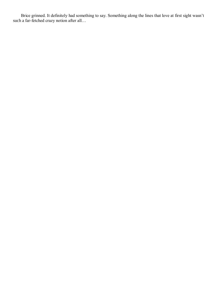Brice grinned. It definitely had something to say. Something along the lines that love at first sight wasn't such a far-fetched crazy notion after all…